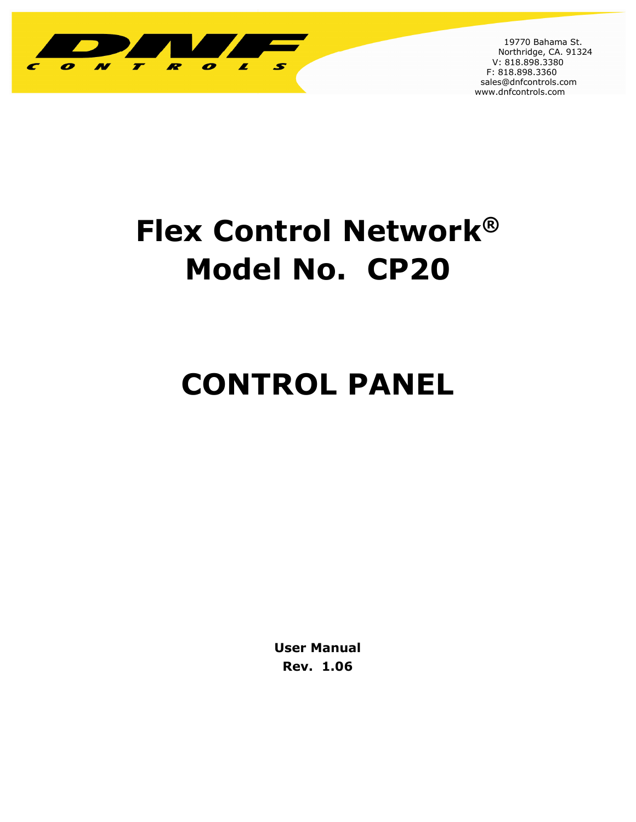

 19770 Bahama St. Northridge, CA. 91324 V: 818.898.3380 F: 818.898.3360 sales@dnfcontrols.com www.dnfcontrols.com

I

# **Flex Control Network® Model No. CP20**

# **CONTROL PANEL**

**User Manual Rev. 1.06**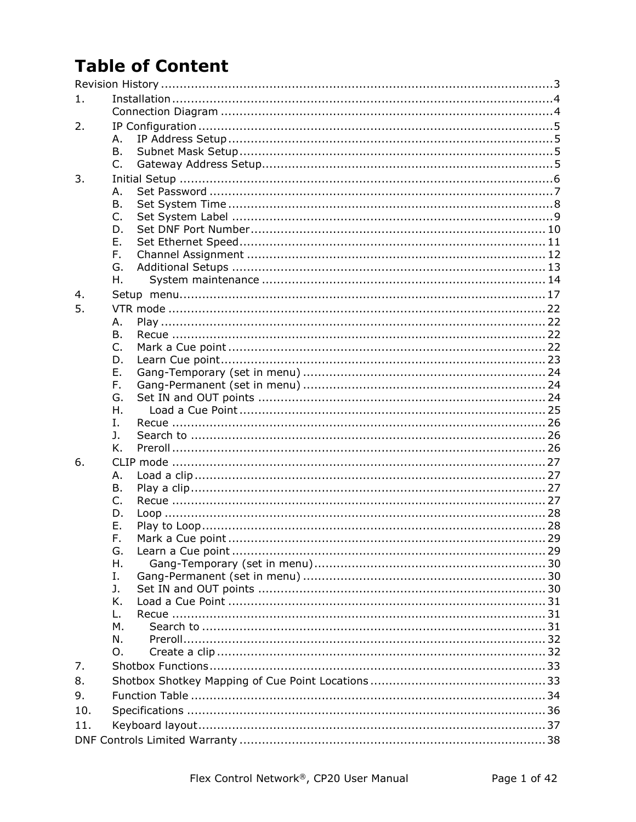## **Table of Content**

| 1.  |           |  |
|-----|-----------|--|
|     |           |  |
| 2.  |           |  |
|     | А.        |  |
|     | <b>B.</b> |  |
|     | $C_{1}$   |  |
| 3.  |           |  |
|     | Α.        |  |
|     | B.        |  |
|     | C.        |  |
|     | D.        |  |
|     | Ε.        |  |
|     | F.        |  |
|     | G.        |  |
|     | Η.        |  |
| 4.  |           |  |
| 5.  |           |  |
|     | А.        |  |
|     | В.        |  |
|     | C.        |  |
|     | D.        |  |
|     | Ε.        |  |
|     | F.        |  |
|     | G.<br>Η.  |  |
|     | I.        |  |
|     | J.        |  |
|     | Κ.        |  |
| 6.  |           |  |
|     | Α.        |  |
|     | Β.        |  |
|     | C.        |  |
|     | D.        |  |
|     | Ε.        |  |
|     | F.        |  |
|     | G.        |  |
|     | Η.        |  |
|     | Ι.        |  |
|     | J.        |  |
|     | Κ.        |  |
|     | L.        |  |
|     | М.        |  |
|     | N.        |  |
|     | Ω.        |  |
| 7.  |           |  |
| 8.  |           |  |
| 9.  |           |  |
| 10. |           |  |
| 11. |           |  |
|     |           |  |
|     |           |  |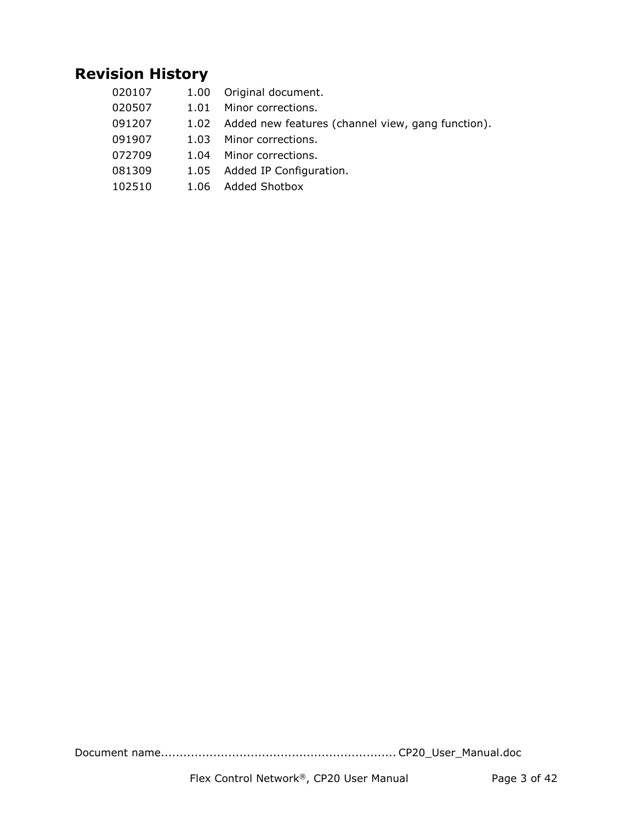### **Revision History**

020107 1.00 Original document. 020507 1.01 Minor corrections. 091207 1.02 Added new features (channel view, gang function). 091907 1.03 Minor corrections. 072709 1.04 Minor corrections. 081309 1.05 Added IP Configuration. 102510 1.06 Added Shotbox

Document name............................................................... CP20\_User\_Manual.doc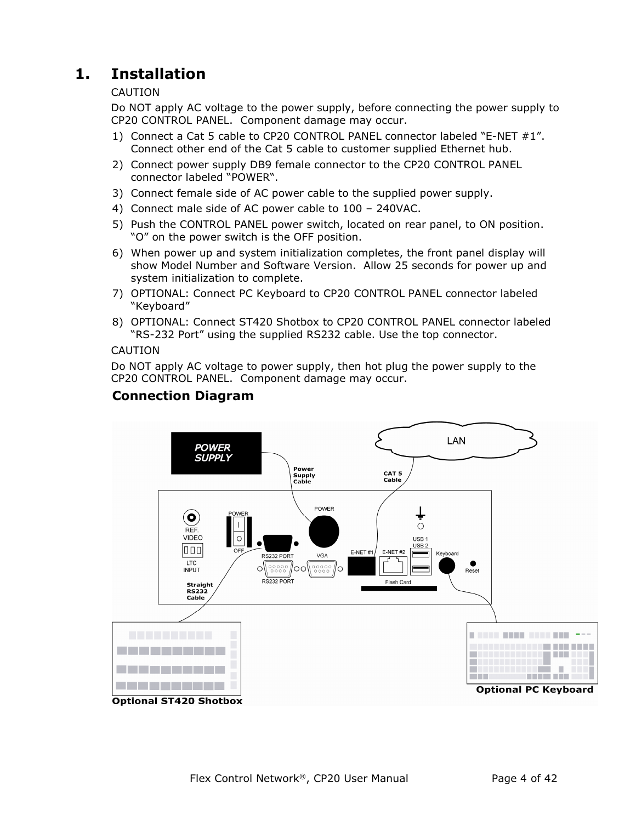## **1. Installation**

#### CAUTION

Do NOT apply AC voltage to the power supply, before connecting the power supply to CP20 CONTROL PANEL. Component damage may occur.

- 1) Connect a Cat 5 cable to CP20 CONTROL PANEL connector labeled "E-NET #1". Connect other end of the Cat 5 cable to customer supplied Ethernet hub.
- 2) Connect power supply DB9 female connector to the CP20 CONTROL PANEL connector labeled "POWER".
- 3) Connect female side of AC power cable to the supplied power supply.
- 4) Connect male side of AC power cable to 100 240VAC.
- 5) Push the CONTROL PANEL power switch, located on rear panel, to ON position. "O" on the power switch is the OFF position.
- 6) When power up and system initialization completes, the front panel display will show Model Number and Software Version. Allow 25 seconds for power up and system initialization to complete.
- 7) OPTIONAL: Connect PC Keyboard to CP20 CONTROL PANEL connector labeled "Keyboard"
- 8) OPTIONAL: Connect ST420 Shotbox to CP20 CONTROL PANEL connector labeled "RS-232 Port" using the supplied RS232 cable. Use the top connector.

#### CAUTION

Do NOT apply AC voltage to power supply, then hot plug the power supply to the CP20 CONTROL PANEL. Component damage may occur.

#### **Connection Diagram**

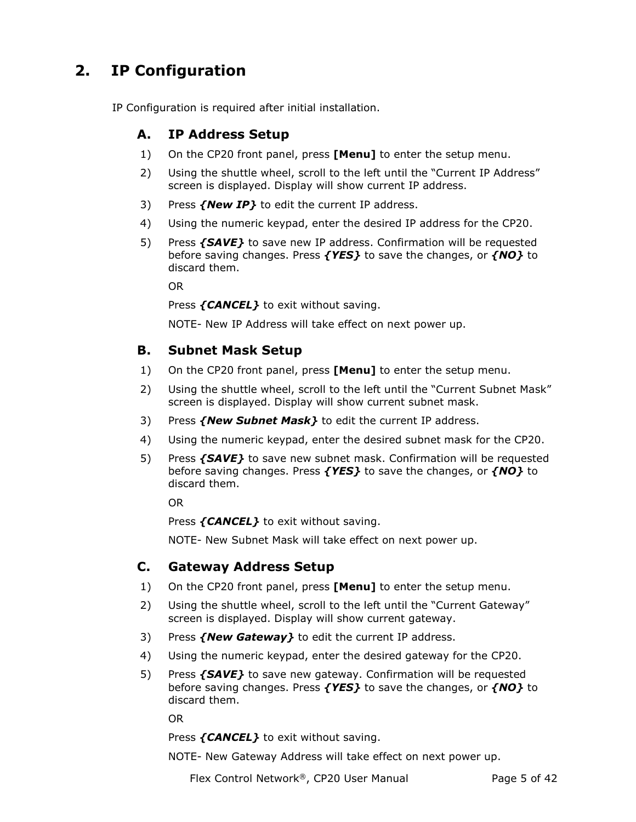## **2. IP Configuration**

IP Configuration is required after initial installation.

#### **A. IP Address Setup**

- 1) On the CP20 front panel, press **[Menu]** to enter the setup menu.
- 2) Using the shuttle wheel, scroll to the left until the "Current IP Address" screen is displayed. Display will show current IP address.
- 3) Press *{New IP}* to edit the current IP address.
- 4) Using the numeric keypad, enter the desired IP address for the CP20.
- 5) Press *{SAVE}* to save new IP address. Confirmation will be requested before saving changes. Press *{YES}* to save the changes, or *{NO}* to discard them.

OR

Press *{CANCEL}* to exit without saving.

NOTE- New IP Address will take effect on next power up.

#### **B. Subnet Mask Setup**

- 1) On the CP20 front panel, press **[Menu]** to enter the setup menu.
- 2) Using the shuttle wheel, scroll to the left until the "Current Subnet Mask" screen is displayed. Display will show current subnet mask.
- 3) Press *{New Subnet Mask}* to edit the current IP address.
- 4) Using the numeric keypad, enter the desired subnet mask for the CP20.
- 5) Press *{SAVE}* to save new subnet mask. Confirmation will be requested before saving changes. Press *{YES}* to save the changes, or *{NO}* to discard them.

OR

Press *{CANCEL}* to exit without saving.

NOTE- New Subnet Mask will take effect on next power up.

#### **C. Gateway Address Setup**

- 1) On the CP20 front panel, press **[Menu]** to enter the setup menu.
- 2) Using the shuttle wheel, scroll to the left until the "Current Gateway" screen is displayed. Display will show current gateway.
- 3) Press *{New Gateway}* to edit the current IP address.
- 4) Using the numeric keypad, enter the desired gateway for the CP20.
- 5) Press *{SAVE}* to save new gateway. Confirmation will be requested before saving changes. Press *{YES}* to save the changes, or *{NO}* to discard them.

OR

Press *{CANCEL}* to exit without saving.

NOTE- New Gateway Address will take effect on next power up.

Flex Control Network®, CP20 User Manual Page 5 of 42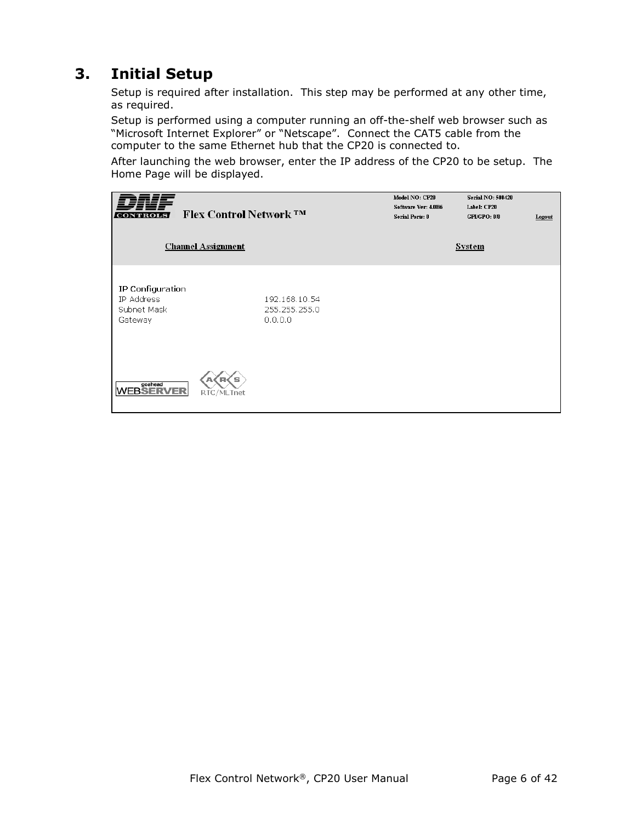## **3. Initial Setup**

Setup is required after installation. This step may be performed at any other time, as required.

Setup is performed using a computer running an off-the-shelf web browser such as "Microsoft Internet Explorer" or "Netscape". Connect the CAT5 cable from the computer to the same Ethernet hub that the CP20 is connected to.

After launching the web browser, enter the IP address of the CP20 to be setup. The Home Page will be displayed.

| CONTROLS                                                 | <b>Flex Control Network ™</b> |                                           | Model NO: CP20<br>Software Ver: 4.0B6<br><b>Serial Ports: 0</b> | Serial NO: 500420<br>Label: CP20<br>GPI/GPO: 0/0 | Logout |
|----------------------------------------------------------|-------------------------------|-------------------------------------------|-----------------------------------------------------------------|--------------------------------------------------|--------|
|                                                          | <b>Channel Assignment</b>     |                                           |                                                                 | System                                           |        |
| IP Configuration<br>IP Address<br>Subnet Mask<br>Gateway |                               | 192.168.10.54<br>255.255.255.0<br>0.0.0.0 |                                                                 |                                                  |        |
| goahead<br>WEBSERVER                                     | s<br>RTC/MLTnet               |                                           |                                                                 |                                                  |        |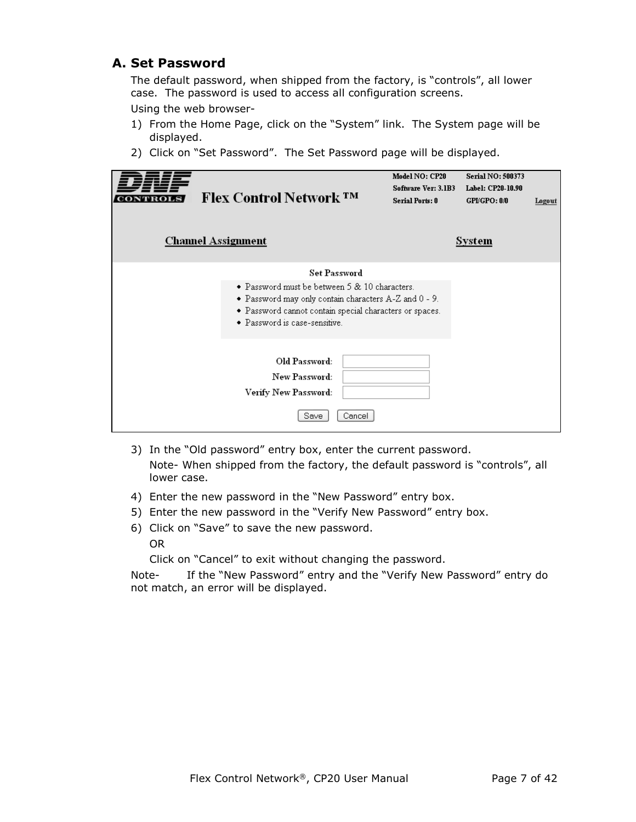#### **A. Set Password**

The default password, when shipped from the factory, is "controls", all lower case. The password is used to access all configuration screens.

Using the web browser-

- 1) From the Home Page, click on the "System" link. The System page will be displayed.
- 2) Click on "Set Password". The Set Password page will be displayed.

| <b>Flex Control Network ™</b><br><b>Channel Assignment</b>                                                                                                                                                                | Model NO: CP20<br>Software Ver: 3.1B3<br><b>Serial Ports: 0</b> | <b>Serial NO: 500373</b><br>Label: CP20-10.90<br>GPUGPO: 0.0<br>System | Logout |
|---------------------------------------------------------------------------------------------------------------------------------------------------------------------------------------------------------------------------|-----------------------------------------------------------------|------------------------------------------------------------------------|--------|
| <b>Set Password</b><br>• Password must be between 5 & 10 characters.<br>• Password may only contain characters A-Z and 0 - 9.<br>• Password cannot contain special characters or spaces.<br>• Password is case-sensitive. |                                                                 |                                                                        |        |
| Old Password:<br>New Password:<br>Verify New Password:<br>Save<br>Cancel                                                                                                                                                  |                                                                 |                                                                        |        |

- 3) In the "Old password" entry box, enter the current password. Note- When shipped from the factory, the default password is "controls", all lower case.
- 4) Enter the new password in the "New Password" entry box.
- 5) Enter the new password in the "Verify New Password" entry box.
- 6) Click on "Save" to save the new password.

OR

Click on "Cancel" to exit without changing the password.

Note- If the "New Password" entry and the "Verify New Password" entry do not match, an error will be displayed.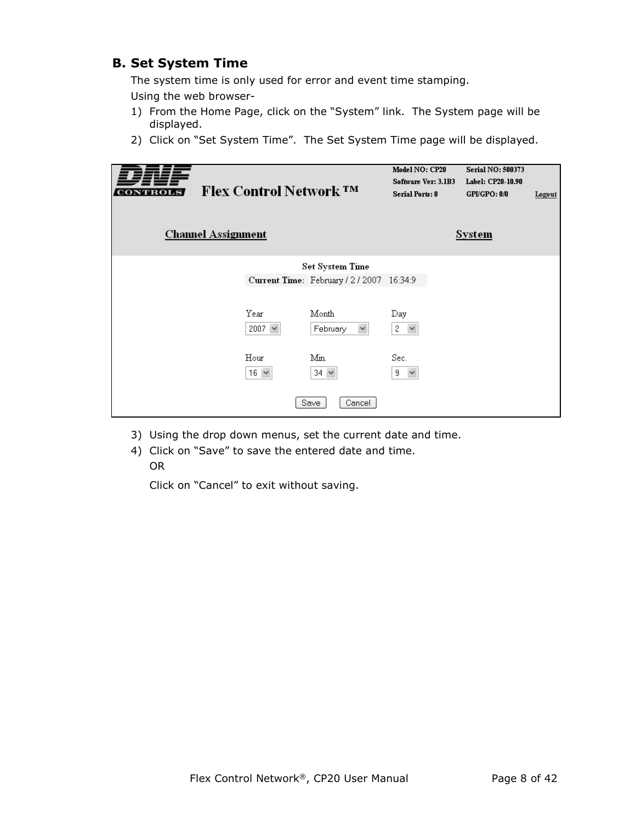#### **B. Set System Time**

The system time is only used for error and event time stamping. Using the web browser-

- 1) From the Home Page, click on the "System" link. The System page will be displayed.
- 2) Click on "Set System Time". The Set System Time page will be displayed.

| <b>Channel Assignment</b> | <b>Flex Control Network ™</b> |                                           | Model NO: CP20<br>Software Ver: 3.1B3<br><b>Serial Ports: 0</b> | <b>Serial NO: 500373</b><br>Label: CP20-10.90<br>GPI/GPO: 0/0<br><b>System</b> | Logout |
|---------------------------|-------------------------------|-------------------------------------------|-----------------------------------------------------------------|--------------------------------------------------------------------------------|--------|
|                           |                               | Set System Time                           |                                                                 |                                                                                |        |
|                           |                               | Current Time: February / 2 / 2007 16:34:9 |                                                                 |                                                                                |        |
|                           | Year<br>2007 $\vee$           | Month<br>$\checkmark$<br>February         | Day<br>2<br>$\checkmark$                                        |                                                                                |        |
|                           | Hour<br>$16 \times$           | Min.<br>$34 \times$                       | Sec.<br>9.<br>$\checkmark$                                      |                                                                                |        |
|                           |                               | Cancel<br>Save                            |                                                                 |                                                                                |        |

- 3) Using the drop down menus, set the current date and time.
- 4) Click on "Save" to save the entered date and time. OR

Click on "Cancel" to exit without saving.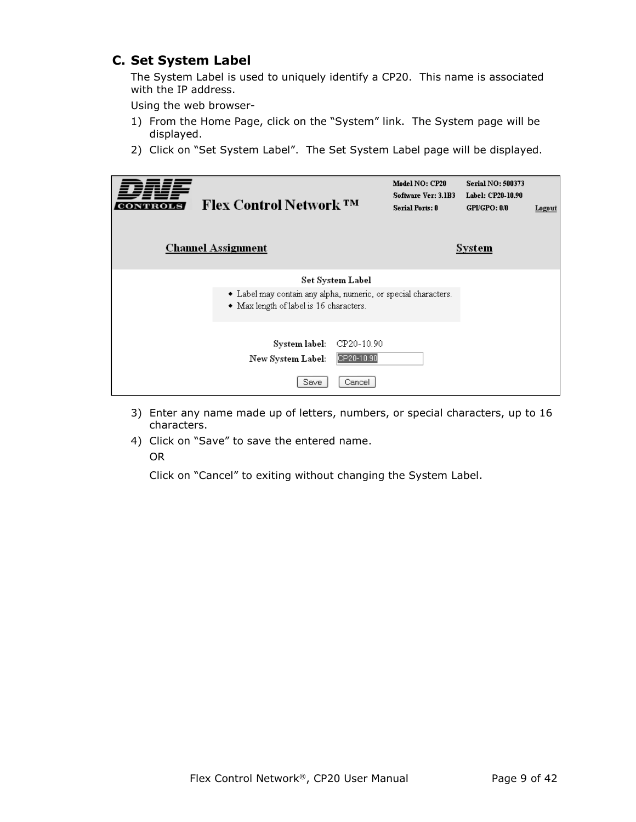#### **C. Set System Label**

The System Label is used to uniquely identify a CP20. This name is associated with the IP address.

Using the web browser-

- 1) From the Home Page, click on the "System" link. The System page will be displayed.
- 2) Click on "Set System Label". The Set System Label page will be displayed.

| <b>Flex Control Network TM</b><br><b>Channel Assignment</b>                                               |                                    | Model NO: CP20<br>Software Ver: 3.1B3<br><b>Serial Ports: 0</b> | <b>Serial NO: 500373</b><br>Label: CP20-10.90<br>GPLGPO: 0.0<br><b>System</b> | Logout |
|-----------------------------------------------------------------------------------------------------------|------------------------------------|-----------------------------------------------------------------|-------------------------------------------------------------------------------|--------|
| • Label may contain any alpha, numeric, or special characters.<br>• Max length of label is 16 characters. | Set System Label                   |                                                                 |                                                                               |        |
| System label:<br>New System Label:<br>Save                                                                | CP20-10.90<br>CP20-10.90<br>Cancel |                                                                 |                                                                               |        |

- 3) Enter any name made up of letters, numbers, or special characters, up to 16 characters.
- 4) Click on "Save" to save the entered name. OR

Click on "Cancel" to exiting without changing the System Label.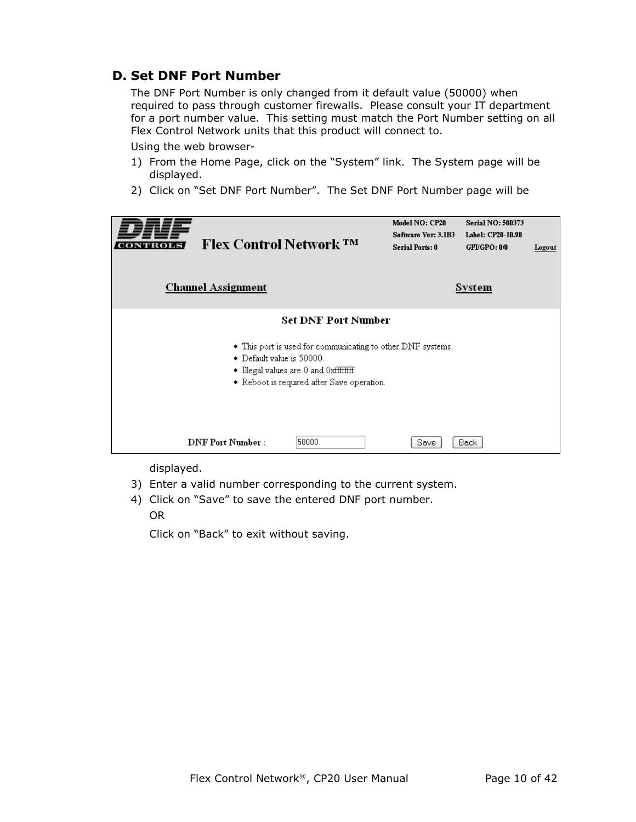#### **D. Set DNF Port Number**

The DNF Port Number is only changed from it default value (50000) when required to pass through customer firewalls. Please consult your IT department for a port number value. This setting must match the Port Number setting on all Flex Control Network units that this product will connect to.

Using the web browser-

- 1) From the Home Page, click on the "System" link. The System page will be displayed.
- 2) Click on "Set DNF Port Number". The Set DNF Port Number page will be

| <b>Flex Control Network TM</b><br><b>Channel Assignment</b> |                                                                                                                                                                                            | Model NO: CP20<br>Software Ver: 3.1B3<br><b>Serial Ports: 0</b> | Serial NO: 500373<br>Label: CP20-10.90<br>GPUGPO: 0/0<br>System | Logout |
|-------------------------------------------------------------|--------------------------------------------------------------------------------------------------------------------------------------------------------------------------------------------|-----------------------------------------------------------------|-----------------------------------------------------------------|--------|
| • Default value is 50000.                                   | <b>Set DNF Port Number</b><br>• This port is used for communicating to other DNF systems.<br>$\bullet$ Illegal values are 0 and 0xfffffffff.<br>• Reboot is required after Save operation. |                                                                 |                                                                 |        |
| <b>DNF Port Number:</b>                                     | 50000                                                                                                                                                                                      | Save                                                            | <b>Back</b>                                                     |        |

displayed.

- 3) Enter a valid number corresponding to the current system.
- 4) Click on "Save" to save the entered DNF port number. OR

Click on "Back" to exit without saving.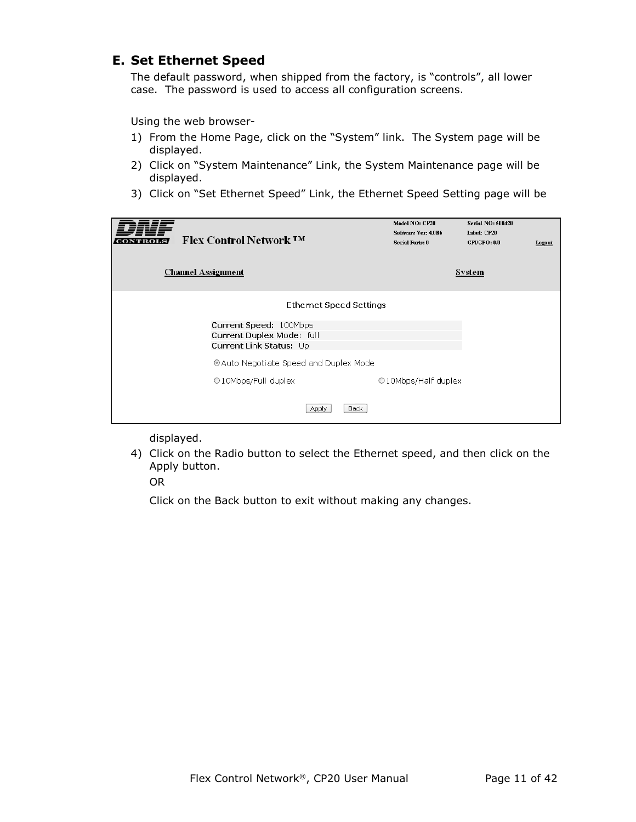#### **E. Set Ethernet Speed**

The default password, when shipped from the factory, is "controls", all lower case. The password is used to access all configuration screens.

Using the web browser-

- 1) From the Home Page, click on the "System" link. The System page will be displayed.
- 2) Click on "System Maintenance" Link, the System Maintenance page will be displayed.
- 3) Click on "Set Ethernet Speed" Link, the Ethernet Speed Setting page will be

| <b>Flex Control Network TM</b><br><b>Channel Assignment</b>                                               | Model NO: CP20<br>Software Ver: 4.0B6<br><b>Serial Ports: 0</b> | <b>Serial NO: 500420</b><br>Label: CP20<br>GPUGPO: 0/0<br><b>System</b> | Logout |
|-----------------------------------------------------------------------------------------------------------|-----------------------------------------------------------------|-------------------------------------------------------------------------|--------|
| Ethernet Speed Settings<br>Current Speed: 100Mbps<br>Current Duplex Mode: full<br>Current Link Status: Up |                                                                 |                                                                         |        |
| © Auto Negotiate Speed and Duplex Mode<br>O10Mbps/Full duplex<br>Back<br>Apply                            | ○10Mbps/Half duplex                                             |                                                                         |        |

displayed.

4) Click on the Radio button to select the Ethernet speed, and then click on the Apply button.

OR

Click on the Back button to exit without making any changes.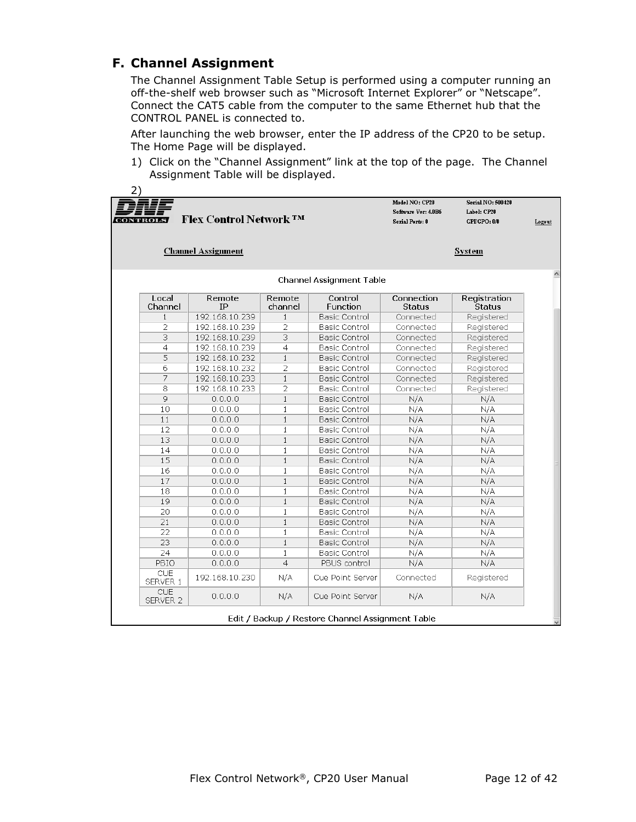#### **F. Channel Assignment**

The Channel Assignment Table Setup is performed using a computer running an off-the-shelf web browser such as "Microsoft Internet Explorer" or "Netscape". Connect the CAT5 cable from the computer to the same Ethernet hub that the CONTROL PANEL is connected to.

After launching the web browser, enter the IP address of the CP20 to be setup. The Home Page will be displayed.

1) Click on the "Channel Assignment" link at the top of the page. The Channel Assignment Table will be displayed.

| <b>CONTROLS</b>                                                  | <b>Flex Control Network TM</b> |                   |                         | Model NO: CP20<br>Software Ver: 4.0B6<br><b>Serial Ports: 0</b> | <b>Serial NO: 500420</b><br>Label: CP20<br>GPI/GPO: 0/0 | Logout |
|------------------------------------------------------------------|--------------------------------|-------------------|-------------------------|-----------------------------------------------------------------|---------------------------------------------------------|--------|
| <b>Channel Assignment</b><br>System                              |                                |                   |                         |                                                                 |                                                         |        |
| Channel Assignment Table                                         |                                |                   |                         | ٨                                                               |                                                         |        |
| Local<br>Channel                                                 | Remote<br><b>TP</b>            | Remote<br>channel | Control<br>Function     | Connection<br><b>Status</b>                                     | Registration<br><b>Status</b>                           |        |
| $\mathbf{1}$                                                     | 192.168.10.239                 | $\mathbf{1}$      | Basic Control           | Connected                                                       | Registered                                              |        |
| $\overline{2}$                                                   | 192.168.10.239                 | 2                 | <b>Basic Control</b>    | Connected                                                       | Registered                                              |        |
| 3                                                                | 192.168.10.239                 | 3                 | <b>Basic Control</b>    | Connected                                                       | Registered                                              |        |
| 4                                                                | 192.168.10.239                 | $\overline{a}$    | <b>Basic Control</b>    | Connected                                                       | Registered                                              |        |
| 5                                                                | 192.168.10.232                 | $\mathbf{1}$      | Basic Control           | Connected                                                       | Registered                                              |        |
| б                                                                | 192.168.10.232                 | 2                 | Basic Control           | Connected                                                       | Registered                                              |        |
| 7                                                                | 192.168.10.233                 | $\mathbf{1}$      | Basic Control           | Connected                                                       | Registered                                              |        |
| 8                                                                | 192.168.10.233                 | $\overline{2}$    | <b>Basic Control</b>    | Connected                                                       | Registered                                              |        |
| 9                                                                | 0.0.0.0                        | $\mathbf{1}$      | Basic Control           | N/A                                                             | N/A                                                     |        |
| 10                                                               | 0.0.0.0                        | $\mathbf{1}$      | Basic Control           | N/A                                                             | N/A                                                     |        |
| 11                                                               | 0.0.0.0                        | $\mathbf{1}$      | Basic Control           | N/A                                                             | N/A                                                     |        |
| 12                                                               | 0.0.0.0                        | $\mathbf{1}$      | Basic Control           | N/A                                                             | N/A                                                     |        |
| 13                                                               | 0.0.0.0                        | $\mathbf{1}$      | Basic Control           | N/A                                                             | N/A                                                     |        |
| 14                                                               | 0.0.0.0                        | $\mathbf{1}$      | <b>Basic Control</b>    | N/A                                                             | N/A                                                     |        |
| 15                                                               | 0.0.0.0                        | $\mathbf{1}$      | Basic Control           | N/A                                                             | N/A                                                     |        |
| 16                                                               | 0.0.0.0                        | $\mathbf{1}$      | <b>Basic Control</b>    | N/A                                                             | N/A                                                     |        |
| 17                                                               | 0.0.0.0                        | $\mathbf{1}$      | Basic Control           | N/A                                                             | N/A                                                     |        |
| 18                                                               | 0.0.0.0                        | $\mathbf{1}$      | Basic Control           | N/A                                                             | N/A                                                     |        |
| 19                                                               | 0.0.0.0                        | $\mathbf{1}$      | Basic Control           | N/A                                                             | N/A                                                     |        |
| 20                                                               | 0.0.0.0                        | $\mathbf{1}$      | Basic Control           | N/A                                                             | N/A                                                     |        |
| 21                                                               | 0.0.0.0                        | $\mathbf{1}$      | Basic Control           | N/A                                                             | N/A                                                     |        |
| 22                                                               | 0.0.0.0                        | $\mathbf{1}$      | <b>Basic Control</b>    | N/A                                                             | N/A                                                     |        |
| 23                                                               | 0.0.0.0                        | $\mathbf{1}$      | Basic Control           | N/A                                                             | N/A                                                     |        |
| 24                                                               | 0.0.0.0                        | $\mathbf{1}$      | <b>Basic Control</b>    | N/A                                                             | N/A                                                     |        |
| PBIO                                                             | 0.0.0.0                        | $\overline{4}$    | PBUS control            | N/A                                                             | N/A                                                     |        |
| CUE<br>SERVER 1                                                  | 192.168.10.230                 | N/A               | <b>Cue Point Server</b> | Connected                                                       | Registered                                              |        |
| <b>CUE</b><br>SERVER <sub>2</sub>                                | 0.0.0.0                        | N/A               | Cue Point Server        | N/A                                                             | N/A                                                     |        |
| Edit / Backup / Restore Channel Assignment Table<br>$\checkmark$ |                                |                   |                         |                                                                 |                                                         |        |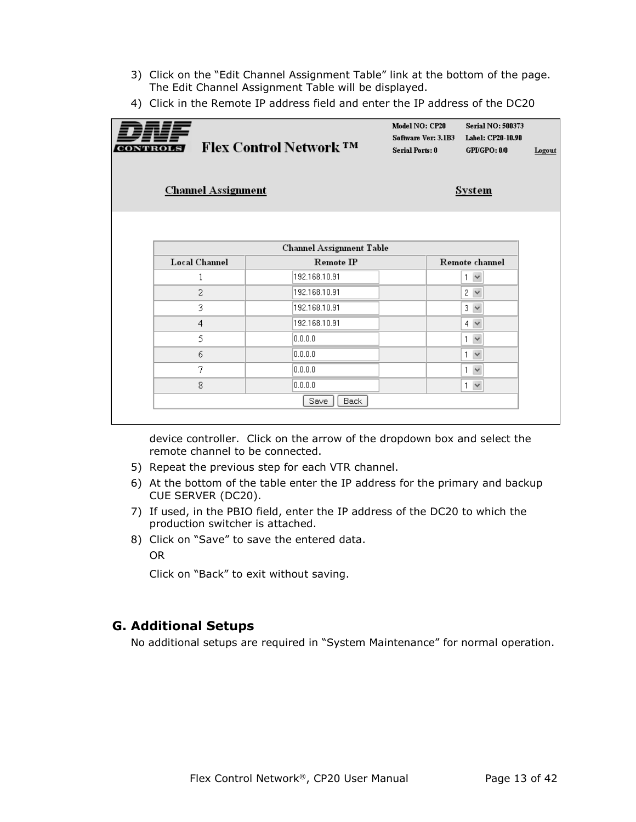- 3) Click on the "Edit Channel Assignment Table" link at the bottom of the page. The Edit Channel Assignment Table will be displayed.
- 4) Click in the Remote IP address field and enter the IP address of the DC20

| CONTROLS | <b>Channel Assignment</b> | <b>Flex Control Network ™</b>             | Model NO: CP20<br>Software Ver: 3.1B3<br><b>Serial Ports: 0</b> | <b>Serial NO: 500373</b><br>Label: CP20-10.90<br>GPI/GPO: 0/0<br><b>System</b> | Logout |
|----------|---------------------------|-------------------------------------------|-----------------------------------------------------------------|--------------------------------------------------------------------------------|--------|
|          | Local Channel             | Channel Assignment Table<br>$Remote$ $IP$ |                                                                 | Remote channel                                                                 |        |
|          | 1                         | 192.168.10.91                             |                                                                 | 1<br>$\checkmark$                                                              |        |
|          | 2                         | 192.168.10.91                             |                                                                 | $2 \vee$                                                                       |        |
|          | 3                         | 192.168.10.91                             |                                                                 | $3 \vee$                                                                       |        |
|          | 4                         | 192.168.10.91                             |                                                                 | $4 \vee$                                                                       |        |
|          | 5                         | 0.0.0.0                                   |                                                                 | $\checkmark$<br>1                                                              |        |
|          | 6                         | 0.0.0.0                                   |                                                                 | $\checkmark$<br>1                                                              |        |
|          | 7                         | 0.0.0.0                                   |                                                                 | $\checkmark$<br>1                                                              |        |
|          | 8                         | 0.0.0.0                                   |                                                                 | $\checkmark$<br>$\mathbf{1}$                                                   |        |
|          |                           | Back<br>Save                              |                                                                 |                                                                                |        |

device controller. Click on the arrow of the dropdown box and select the remote channel to be connected.

- 5) Repeat the previous step for each VTR channel.
- 6) At the bottom of the table enter the IP address for the primary and backup CUE SERVER (DC20).
- 7) If used, in the PBIO field, enter the IP address of the DC20 to which the production switcher is attached.
- 8) Click on "Save" to save the entered data. OR

Click on "Back" to exit without saving.

#### **G. Additional Setups**

No additional setups are required in "System Maintenance" for normal operation.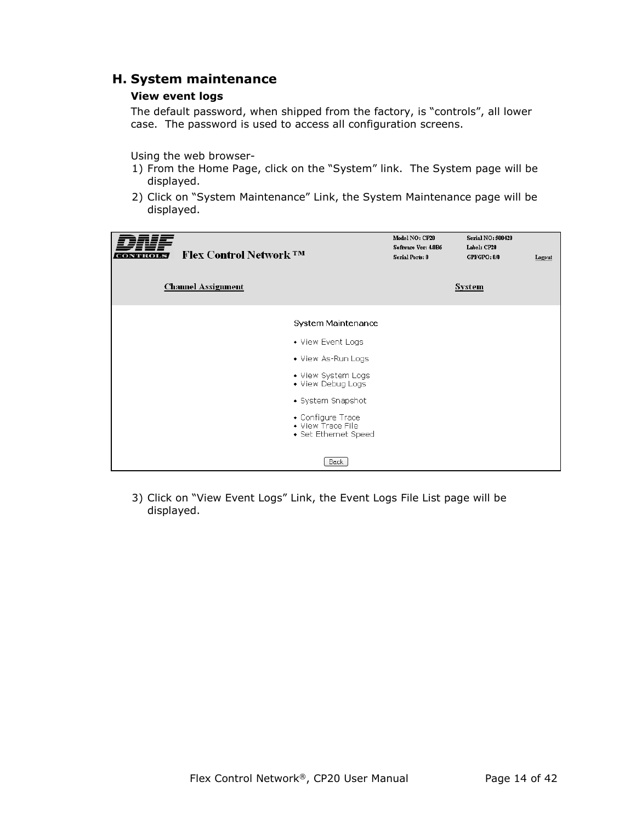#### **H. System maintenance**

#### **View event logs**

The default password, when shipped from the factory, is "controls", all lower case. The password is used to access all configuration screens.

Using the web browser-

- 1) From the Home Page, click on the "System" link. The System page will be displayed.
- 2) Click on "System Maintenance" Link, the System Maintenance page will be displayed.

| CONTROI | <b>Flex Control Network ™</b> |                                                                | Model NO: CP20<br>Software Ver: 4.0B6<br><b>Serial Ports: 0</b> | Serial NO: 500420<br>Label: CP20<br>GPI/GPO: 0/0 | Logout |
|---------|-------------------------------|----------------------------------------------------------------|-----------------------------------------------------------------|--------------------------------------------------|--------|
|         | <b>Channel Assignment</b>     |                                                                |                                                                 | <b>System</b>                                    |        |
|         |                               | <b>System Maintenance</b>                                      |                                                                 |                                                  |        |
|         |                               | • View Event Logs                                              |                                                                 |                                                  |        |
|         |                               | • View As-Run Logs                                             |                                                                 |                                                  |        |
|         |                               | • View System Logs<br>• View Debug Logs                        |                                                                 |                                                  |        |
|         |                               | • System Snapshot                                              |                                                                 |                                                  |        |
|         |                               | • Configure Trace<br>• View Trace File<br>• Set Ethernet Speed |                                                                 |                                                  |        |
|         |                               | <b>Back</b>                                                    |                                                                 |                                                  |        |

3) Click on "View Event Logs" Link, the Event Logs File List page will be displayed.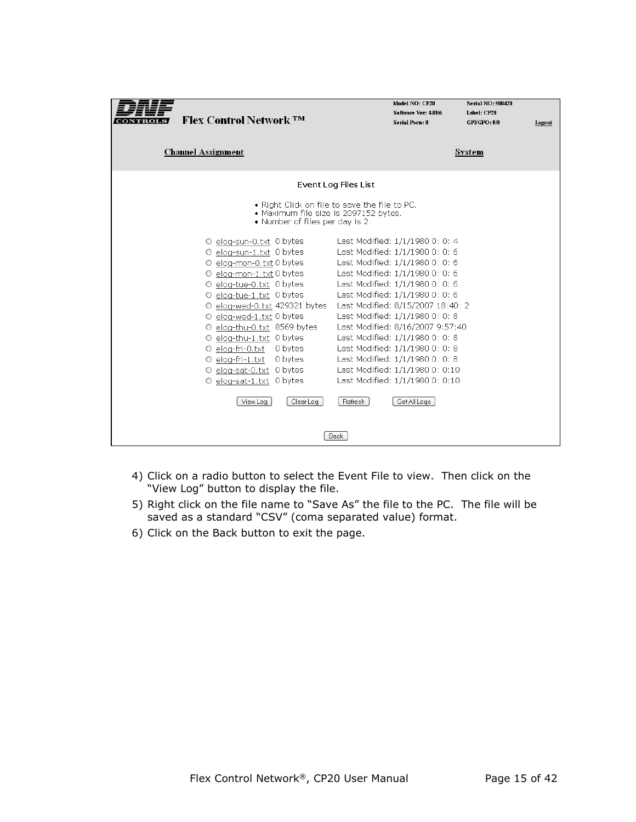| Flex Control Network TM                                                                                                                                                                                                                                                                                                                                                                                   | Model NO: CP20<br><b>Serial NO: 500420</b><br>Software Ver: 4.0B6<br>Label: CP20<br><b>Serial Ports: 0</b><br>GPLGPO: 0/0<br>Logout                                                                                                                                                                                                                                                                                                                                    |
|-----------------------------------------------------------------------------------------------------------------------------------------------------------------------------------------------------------------------------------------------------------------------------------------------------------------------------------------------------------------------------------------------------------|------------------------------------------------------------------------------------------------------------------------------------------------------------------------------------------------------------------------------------------------------------------------------------------------------------------------------------------------------------------------------------------------------------------------------------------------------------------------|
| <b>Channel Assignment</b>                                                                                                                                                                                                                                                                                                                                                                                 | System                                                                                                                                                                                                                                                                                                                                                                                                                                                                 |
|                                                                                                                                                                                                                                                                                                                                                                                                           | Event Log Files List                                                                                                                                                                                                                                                                                                                                                                                                                                                   |
| • Maximum file size is 2097152 bytes.<br>• Number of files per day is 2.                                                                                                                                                                                                                                                                                                                                  | • Right Click on file to save the file to PC.                                                                                                                                                                                                                                                                                                                                                                                                                          |
| O elog-sun-0.txt 0 bytes<br>O elog-sun-1.txt 0 bytes<br>O elog-mon-0.txt 0 bytes<br>O elog-mon-1, txt 0 bytes<br>O elog-tue-0.txt 0 bytes<br>O elog-tue-1.txt 0 bytes<br>O elog-wed-0.txt 429321 bytes<br>O elog-wed-1.txt 0 bytes<br>O elog-thu-0.txt 8569 bytes<br>O elog-thu-1.txt 0 bytes<br>$\circ$ elog-fri-0.txt $\circ$ bytes<br>$\circ$ elog-fri-1.txt $\circ$ bytes<br>O elog-sat-0.txt 0 bytes | Last Modified: 1/1/1980 0: 0: 4<br>Last Modified: 1/1/1980 0: 0: 6<br>Last Modified: 1/1/1980 0: 0: 6<br>Last Modified: 1/1/1980 0: 0: 6<br>Last Modified: 1/1/1980 0: 0: 6<br>Last Modified: 1/1/1980 0: 0: 6<br>Last Modified: 8/15/2007 18:40: 2<br>Last Modified: 1/1/1980 0: 0: 8<br>Last Modified: 8/16/2007 9:57:40<br>Last Modified: 1/1/1980 0: 0: 8<br>Last Modified: 1/1/1980 0: 0: 8<br>Last Modified: 1/1/1980 0: 0: 8<br>Last Modified: 1/1/1980 0: 0:10 |
| $\circ$ elog-sat-1.txt $\circ$ bytes<br>View Log<br>Clear Log                                                                                                                                                                                                                                                                                                                                             | Last Modified: 1/1/1980 0: 0:10<br>Refresh<br>Get All Logs                                                                                                                                                                                                                                                                                                                                                                                                             |
|                                                                                                                                                                                                                                                                                                                                                                                                           | Back                                                                                                                                                                                                                                                                                                                                                                                                                                                                   |

- 4) Click on a radio button to select the Event File to view. Then click on the "View Log" button to display the file.
- 5) Right click on the file name to "Save As" the file to the PC. The file will be saved as a standard "CSV" (coma separated value) format.
- 6) Click on the Back button to exit the page.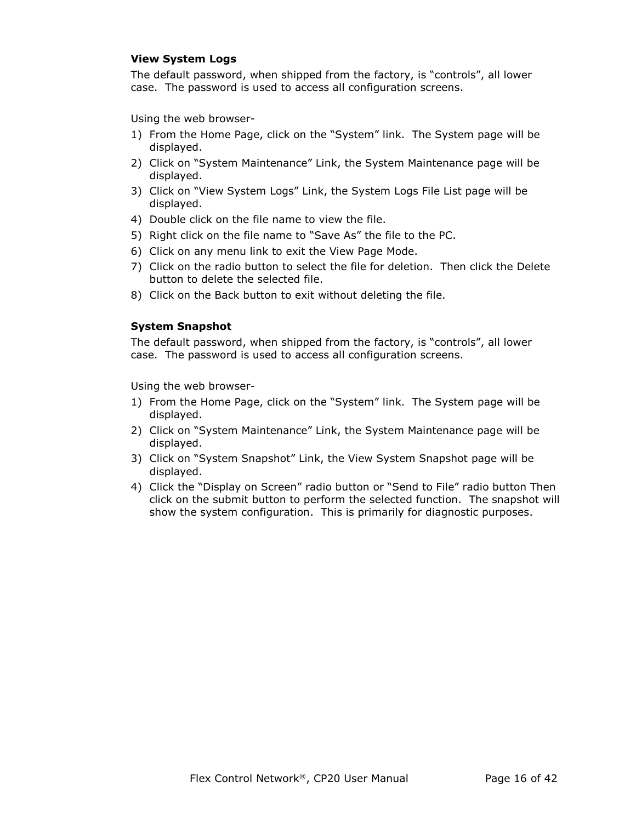#### **View System Logs**

The default password, when shipped from the factory, is "controls", all lower case. The password is used to access all configuration screens.

Using the web browser-

- 1) From the Home Page, click on the "System" link. The System page will be displayed.
- 2) Click on "System Maintenance" Link, the System Maintenance page will be displayed.
- 3) Click on "View System Logs" Link, the System Logs File List page will be displayed.
- 4) Double click on the file name to view the file.
- 5) Right click on the file name to "Save As" the file to the PC.
- 6) Click on any menu link to exit the View Page Mode.
- 7) Click on the radio button to select the file for deletion. Then click the Delete button to delete the selected file.
- 8) Click on the Back button to exit without deleting the file.

#### **System Snapshot**

The default password, when shipped from the factory, is "controls", all lower case. The password is used to access all configuration screens.

Using the web browser-

- 1) From the Home Page, click on the "System" link. The System page will be displayed.
- 2) Click on "System Maintenance" Link, the System Maintenance page will be displayed.
- 3) Click on "System Snapshot" Link, the View System Snapshot page will be displayed.
- 4) Click the "Display on Screen" radio button or "Send to File" radio button Then click on the submit button to perform the selected function. The snapshot will show the system configuration. This is primarily for diagnostic purposes.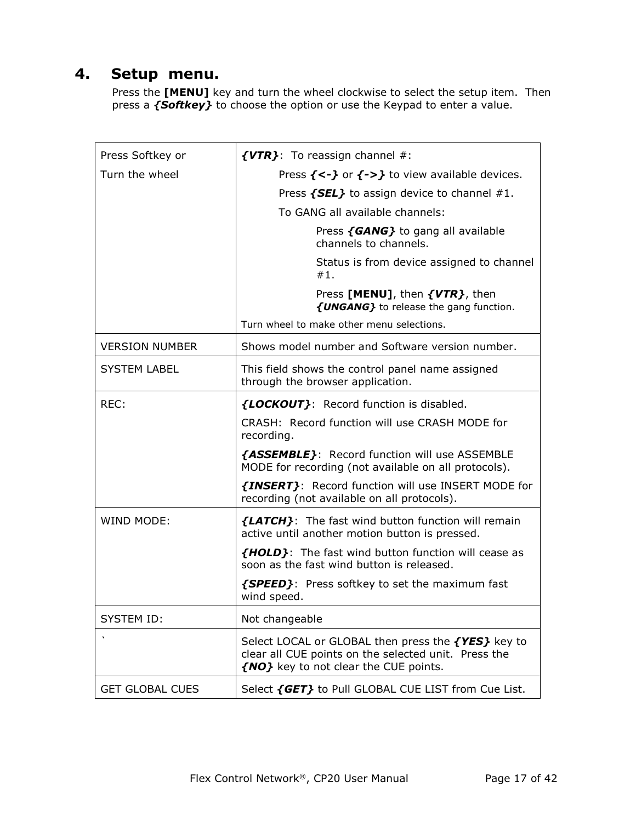## **4. Setup menu.**

Press the **[MENU]** key and turn the wheel clockwise to select the setup item. Then press a *{Softkey}* to choose the option or use the Keypad to enter a value.

| Press Softkey or       | $\{VTR\}$ : To reassign channel #:                                                                                                                  |
|------------------------|-----------------------------------------------------------------------------------------------------------------------------------------------------|
| Turn the wheel         | Press $\{<\}$ or $\{->\}$ to view available devices.                                                                                                |
|                        | Press $\{SEL\}$ to assign device to channel #1.                                                                                                     |
|                        | To GANG all available channels:                                                                                                                     |
|                        | Press {GANG} to gang all available<br>channels to channels.                                                                                         |
|                        | Status is from device assigned to channel<br>#1.                                                                                                    |
|                        | Press [MENU], then {VTR}, then<br>{UNGANG} to release the gang function.                                                                            |
|                        | Turn wheel to make other menu selections.                                                                                                           |
| <b>VERSION NUMBER</b>  | Shows model number and Software version number.                                                                                                     |
| <b>SYSTEM LABEL</b>    | This field shows the control panel name assigned<br>through the browser application.                                                                |
| REC:                   | {LOCKOUT}: Record function is disabled.                                                                                                             |
|                        | CRASH: Record function will use CRASH MODE for<br>recording.                                                                                        |
|                        | {ASSEMBLE}: Record function will use ASSEMBLE<br>MODE for recording (not available on all protocols).                                               |
|                        | {INSERT}: Record function will use INSERT MODE for<br>recording (not available on all protocols).                                                   |
| WIND MODE:             | <b>{LATCH}</b> : The fast wind button function will remain<br>active until another motion button is pressed.                                        |
|                        | <b>{HOLD}:</b> The fast wind button function will cease as<br>soon as the fast wind button is released.                                             |
|                        | <b>{SPEED}</b> : Press softkey to set the maximum fast<br>wind speed.                                                                               |
| <b>SYSTEM ID:</b>      | Not changeable                                                                                                                                      |
| $\cdot$                | Select LOCAL or GLOBAL then press the {YES} key to<br>clear all CUE points on the selected unit. Press the<br>{NO} key to not clear the CUE points. |
| <b>GET GLOBAL CUES</b> | Select {GET} to Pull GLOBAL CUE LIST from Cue List.                                                                                                 |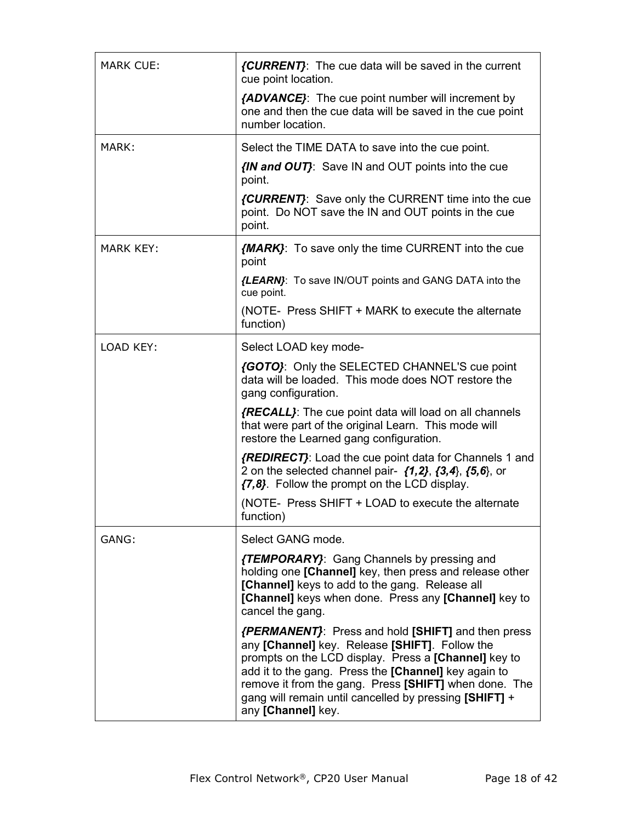| <b>MARK CUE:</b> | <i>{CURRENT}</i> : The cue data will be saved in the current<br>cue point location.                                                                                                                                                                                                                                                                                   |  |
|------------------|-----------------------------------------------------------------------------------------------------------------------------------------------------------------------------------------------------------------------------------------------------------------------------------------------------------------------------------------------------------------------|--|
|                  | {ADVANCE}: The cue point number will increment by<br>one and then the cue data will be saved in the cue point<br>number location.                                                                                                                                                                                                                                     |  |
| MARK:            | Select the TIME DATA to save into the cue point.                                                                                                                                                                                                                                                                                                                      |  |
|                  | <b>{IN and OUT}:</b> Save IN and OUT points into the cue<br>point.                                                                                                                                                                                                                                                                                                    |  |
|                  | <i>{CURRENT}</i> : Save only the CURRENT time into the cue<br>point. Do NOT save the IN and OUT points in the cue<br>point.                                                                                                                                                                                                                                           |  |
| <b>MARK KEY:</b> | <b>{MARK}:</b> To save only the time CURRENT into the cue<br>point                                                                                                                                                                                                                                                                                                    |  |
|                  | <b>{LEARN}:</b> To save IN/OUT points and GANG DATA into the<br>cue point.                                                                                                                                                                                                                                                                                            |  |
|                  | (NOTE- Press SHIFT + MARK to execute the alternate<br>function)                                                                                                                                                                                                                                                                                                       |  |
| LOAD KEY:        | Select LOAD key mode-                                                                                                                                                                                                                                                                                                                                                 |  |
|                  | (GOTO): Only the SELECTED CHANNEL'S cue point<br>data will be loaded. This mode does NOT restore the<br>gang configuration.                                                                                                                                                                                                                                           |  |
|                  | <i>{RECALL}</i> : The cue point data will load on all channels<br>that were part of the original Learn. This mode will<br>restore the Learned gang configuration.                                                                                                                                                                                                     |  |
|                  | {REDIRECT}: Load the cue point data for Channels 1 and<br>2 on the selected channel pair- $\{1,2\}$ , $\{3,4\}$ , $\{5,6\}$ , or<br>{7,8}. Follow the prompt on the LCD display.                                                                                                                                                                                      |  |
|                  | (NOTE- Press SHIFT + LOAD to execute the alternate<br>function)                                                                                                                                                                                                                                                                                                       |  |
| GANG:            | Select GANG mode.                                                                                                                                                                                                                                                                                                                                                     |  |
|                  | <b>{TEMPORARY}:</b> Gang Channels by pressing and<br>holding one [Channel] key, then press and release other<br>[Channel] keys to add to the gang. Release all<br>[Channel] keys when done. Press any [Channel] key to<br>cancel the gang.                                                                                                                            |  |
|                  | <i>{PERMANENT}</i> : Press and hold [SHIFT] and then press<br>any [Channel] key. Release [SHIFT]. Follow the<br>prompts on the LCD display. Press a [Channel] key to<br>add it to the gang. Press the [Channel] key again to<br>remove it from the gang. Press [SHIFT] when done. The<br>gang will remain until cancelled by pressing [SHIFT] +<br>any [Channel] key. |  |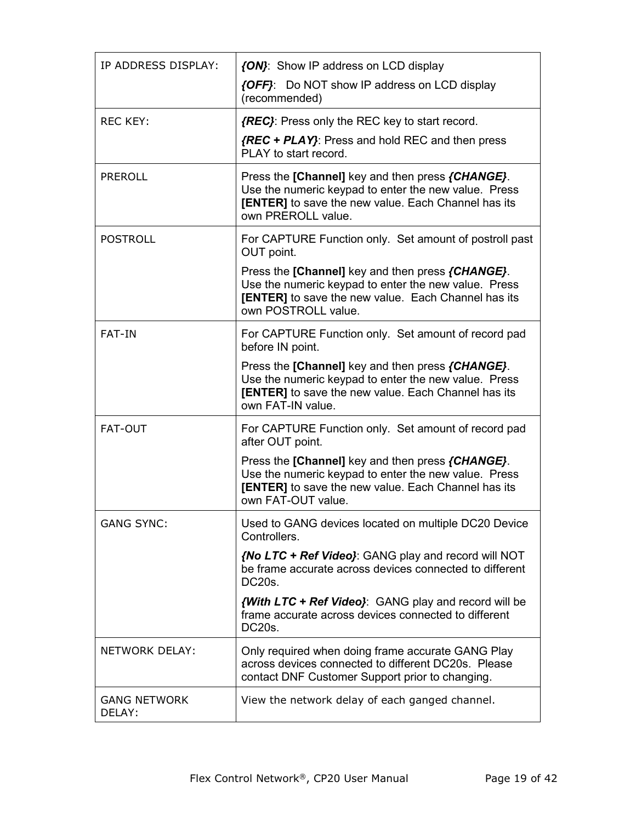| IP ADDRESS DISPLAY:           | {ON}: Show IP address on LCD display                                                                                                                                                         |  |
|-------------------------------|----------------------------------------------------------------------------------------------------------------------------------------------------------------------------------------------|--|
|                               | {OFF}: Do NOT show IP address on LCD display<br>(recommended)                                                                                                                                |  |
| <b>REC KEY:</b>               | {REC}: Press only the REC key to start record.                                                                                                                                               |  |
|                               | {REC + PLAY}: Press and hold REC and then press<br>PLAY to start record.                                                                                                                     |  |
| <b>PREROLL</b>                | Press the [Channel] key and then press {CHANGE}.<br>Use the numeric keypad to enter the new value. Press<br>[ENTER] to save the new value. Each Channel has its<br>own PREROLL value.        |  |
| <b>POSTROLL</b>               | For CAPTURE Function only. Set amount of postroll past<br>OUT point.                                                                                                                         |  |
|                               | Press the [Channel] key and then press {CHANGE}.<br>Use the numeric keypad to enter the new value. Press<br>[ENTER] to save the new value. Each Channel has its<br>own POSTROLL value.       |  |
| <b>FAT-IN</b>                 | For CAPTURE Function only. Set amount of record pad<br>before IN point.                                                                                                                      |  |
|                               | Press the [Channel] key and then press {CHANGE}.<br>Use the numeric keypad to enter the new value. Press<br><b>[ENTER]</b> to save the new value. Each Channel has its<br>own FAT-IN value.  |  |
| <b>FAT-OUT</b>                | For CAPTURE Function only. Set amount of record pad<br>after OUT point.                                                                                                                      |  |
|                               | Press the [Channel] key and then press {CHANGE}.<br>Use the numeric keypad to enter the new value. Press<br><b>[ENTER]</b> to save the new value. Each Channel has its<br>own FAT-OUT value. |  |
| <b>GANG SYNC:</b>             | Used to GANG devices located on multiple DC20 Device<br>Controllers.                                                                                                                         |  |
|                               | {No LTC + Ref Video}: GANG play and record will NOT<br>be frame accurate across devices connected to different<br>DC20s.                                                                     |  |
|                               | <b>With LTC + Ref Video}</b> : GANG play and record will be<br>frame accurate across devices connected to different<br>DC20s.                                                                |  |
| NETWORK DELAY:                | Only required when doing frame accurate GANG Play<br>across devices connected to different DC20s. Please<br>contact DNF Customer Support prior to changing.                                  |  |
| <b>GANG NETWORK</b><br>DELAY: | View the network delay of each ganged channel.                                                                                                                                               |  |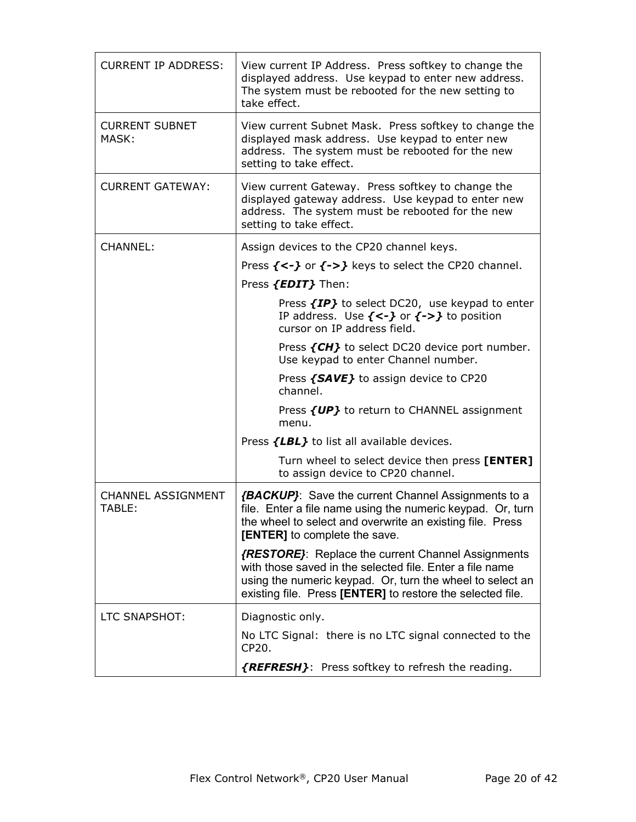| <b>CURRENT IP ADDRESS:</b>          | View current IP Address. Press softkey to change the<br>displayed address. Use keypad to enter new address.<br>The system must be rebooted for the new setting to<br>take effect.                                                                 |
|-------------------------------------|---------------------------------------------------------------------------------------------------------------------------------------------------------------------------------------------------------------------------------------------------|
| <b>CURRENT SUBNET</b><br>MASK:      | View current Subnet Mask. Press softkey to change the<br>displayed mask address. Use keypad to enter new<br>address. The system must be rebooted for the new<br>setting to take effect.                                                           |
| <b>CURRENT GATEWAY:</b>             | View current Gateway. Press softkey to change the<br>displayed gateway address. Use keypad to enter new<br>address. The system must be rebooted for the new<br>setting to take effect.                                                            |
| <b>CHANNEL:</b>                     | Assign devices to the CP20 channel keys.                                                                                                                                                                                                          |
|                                     | Press $\{\langle -\rangle\}$ or $\{\rangle\}$ keys to select the CP20 channel.                                                                                                                                                                    |
|                                     | Press <i>{EDIT}</i> Then:                                                                                                                                                                                                                         |
|                                     | Press {IP} to select DC20, use keypad to enter<br>IP address. Use $\{\langle -\rangle\}$ or $\{\rangle$ -> $\}$ to position<br>cursor on IP address field.                                                                                        |
|                                     | Press {CH} to select DC20 device port number.<br>Use keypad to enter Channel number.                                                                                                                                                              |
|                                     | Press {SAVE} to assign device to CP20<br>channel.                                                                                                                                                                                                 |
|                                     | Press {UP} to return to CHANNEL assignment<br>menu.                                                                                                                                                                                               |
|                                     | Press {LBL} to list all available devices.                                                                                                                                                                                                        |
|                                     | Turn wheel to select device then press [ENTER]<br>to assign device to CP20 channel.                                                                                                                                                               |
| <b>CHANNEL ASSIGNMENT</b><br>TABLE: | <b>{BACKUP}</b> : Save the current Channel Assignments to a<br>file. Enter a file name using the numeric keypad. Or, turn<br>the wheel to select and overwrite an existing file. Press<br><b>[ENTER]</b> to complete the save.                    |
|                                     | <i>{RESTORE}</i> : Replace the current Channel Assignments<br>with those saved in the selected file. Enter a file name<br>using the numeric keypad. Or, turn the wheel to select an<br>existing file. Press [ENTER] to restore the selected file. |
| LTC SNAPSHOT:                       | Diagnostic only.                                                                                                                                                                                                                                  |
|                                     | No LTC Signal: there is no LTC signal connected to the<br>CP20.                                                                                                                                                                                   |
|                                     | {REFRESH}: Press softkey to refresh the reading.                                                                                                                                                                                                  |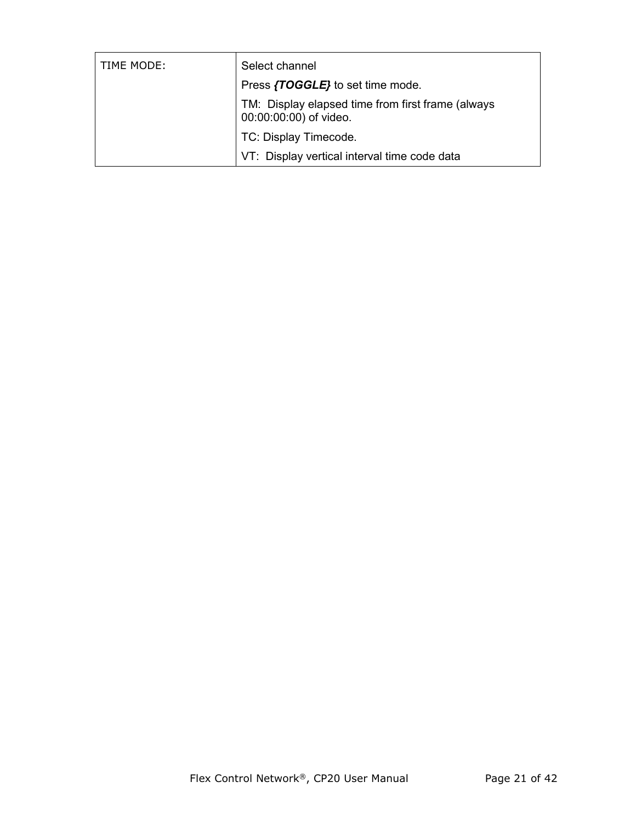| TIME MODE: | Select channel                                                              |
|------------|-----------------------------------------------------------------------------|
|            | Press {TOGGLE} to set time mode.                                            |
|            | TM: Display elapsed time from first frame (always<br>00:00:00:00) of video. |
|            | TC: Display Timecode.                                                       |
|            | VT: Display vertical interval time code data                                |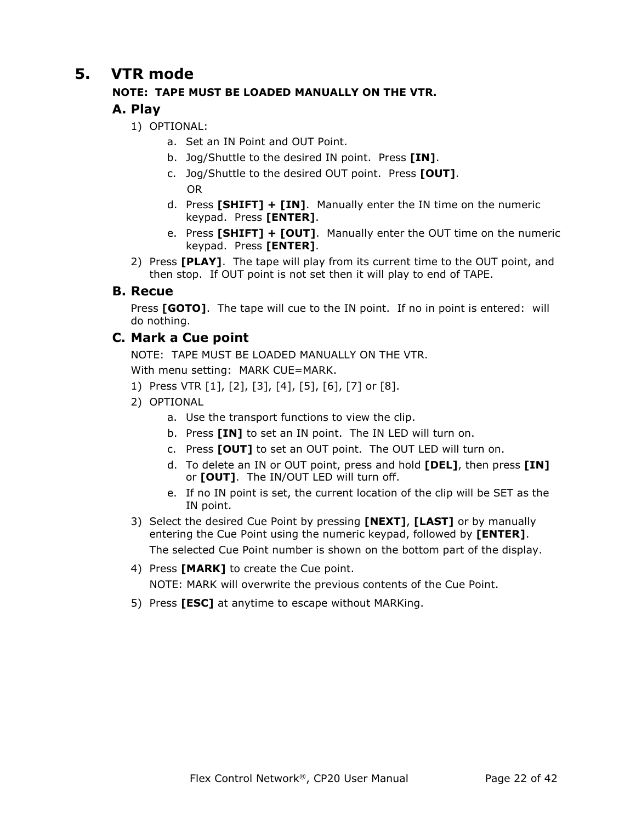### **5. VTR mode**

#### **NOTE: TAPE MUST BE LOADED MANUALLY ON THE VTR.**

#### **A. Play**

1) OPTIONAL:

- a. Set an IN Point and OUT Point.
- b. Jog/Shuttle to the desired IN point. Press **[IN]**.
- c. Jog/Shuttle to the desired OUT point. Press **[OUT]**. OR
- d. Press **[SHIFT] + [IN]**. Manually enter the IN time on the numeric keypad. Press **[ENTER]**.
- e. Press **[SHIFT] + [OUT]**. Manually enter the OUT time on the numeric keypad. Press **[ENTER]**.
- 2) Press **[PLAY]**. The tape will play from its current time to the OUT point, and then stop. If OUT point is not set then it will play to end of TAPE.

#### **B. Recue**

Press [GOTO]. The tape will cue to the IN point. If no in point is entered: will do nothing.

#### **C. Mark a Cue point**

NOTE: TAPE MUST BE LOADED MANUALLY ON THE VTR.

With menu setting: MARK CUE=MARK.

- 1) Press VTR [1], [2], [3], [4], [5], [6], [7] or [8].
- 2) OPTIONAL
	- a. Use the transport functions to view the clip.
	- b. Press **[IN]** to set an IN point. The IN LED will turn on.
	- c. Press **[OUT]** to set an OUT point. The OUT LED will turn on.
	- d. To delete an IN or OUT point, press and hold **[DEL]**, then press **[IN]** or **[OUT]**. The IN/OUT LED will turn off.
	- e. If no IN point is set, the current location of the clip will be SET as the IN point.
- 3) Select the desired Cue Point by pressing **[NEXT]**, **[LAST]** or by manually entering the Cue Point using the numeric keypad, followed by **[ENTER]**. The selected Cue Point number is shown on the bottom part of the display.
- 4) Press **[MARK]** to create the Cue point. NOTE: MARK will overwrite the previous contents of the Cue Point.
- 5) Press **[ESC]** at anytime to escape without MARKing.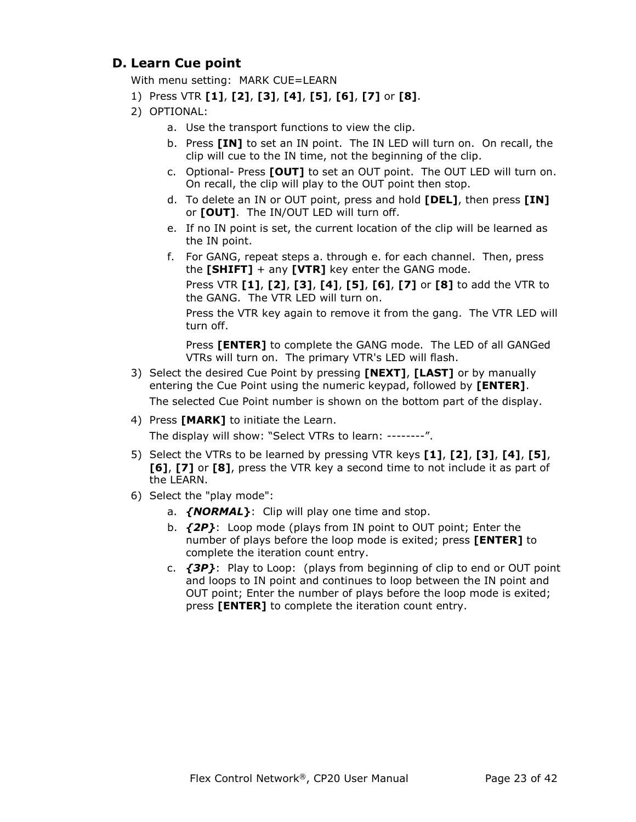#### **D. Learn Cue point**

With menu setting: MARK CUE=LEARN

- 1) Press VTR **[1]**, **[2]**, **[3]**, **[4]**, **[5]**, **[6]**, **[7]** or **[8]**.
- 2) OPTIONAL:
	- a. Use the transport functions to view the clip.
	- b. Press **[IN]** to set an IN point. The IN LED will turn on. On recall, the clip will cue to the IN time, not the beginning of the clip.
	- c. Optional- Press **[OUT]** to set an OUT point. The OUT LED will turn on. On recall, the clip will play to the OUT point then stop.
	- d. To delete an IN or OUT point, press and hold **[DEL]**, then press **[IN]** or **[OUT]**. The IN/OUT LED will turn off.
	- e. If no IN point is set, the current location of the clip will be learned as the IN point.
	- f. For GANG, repeat steps a. through e. for each channel. Then, press the **[SHIFT]** + any **[VTR]** key enter the GANG mode.

Press VTR **[1]**, **[2]**, **[3]**, **[4]**, **[5]**, **[6]**, **[7]** or **[8]** to add the VTR to the GANG. The VTR LED will turn on.

Press the VTR key again to remove it from the gang. The VTR LED will turn off.

Press **[ENTER]** to complete the GANG mode. The LED of all GANGed VTRs will turn on. The primary VTR's LED will flash.

3) Select the desired Cue Point by pressing **[NEXT]**, **[LAST]** or by manually entering the Cue Point using the numeric keypad, followed by **[ENTER]**.

The selected Cue Point number is shown on the bottom part of the display.

4) Press **[MARK]** to initiate the Learn.

The display will show: "Select VTRs to learn: --------".

- 5) Select the VTRs to be learned by pressing VTR keys **[1]**, **[2]**, **[3]**, **[4]**, **[5]**, **[6]**, **[7]** or **[8]**, press the VTR key a second time to not include it as part of the LEARN.
- 6) Select the "play mode":
	- a. *{NORMAL***}**: Clip will play one time and stop.
	- b. *{2P}*: Loop mode (plays from IN point to OUT point; Enter the number of plays before the loop mode is exited; press **[ENTER]** to complete the iteration count entry.
	- c. *{3P}*: Play to Loop: (plays from beginning of clip to end or OUT point and loops to IN point and continues to loop between the IN point and OUT point; Enter the number of plays before the loop mode is exited; press **[ENTER]** to complete the iteration count entry.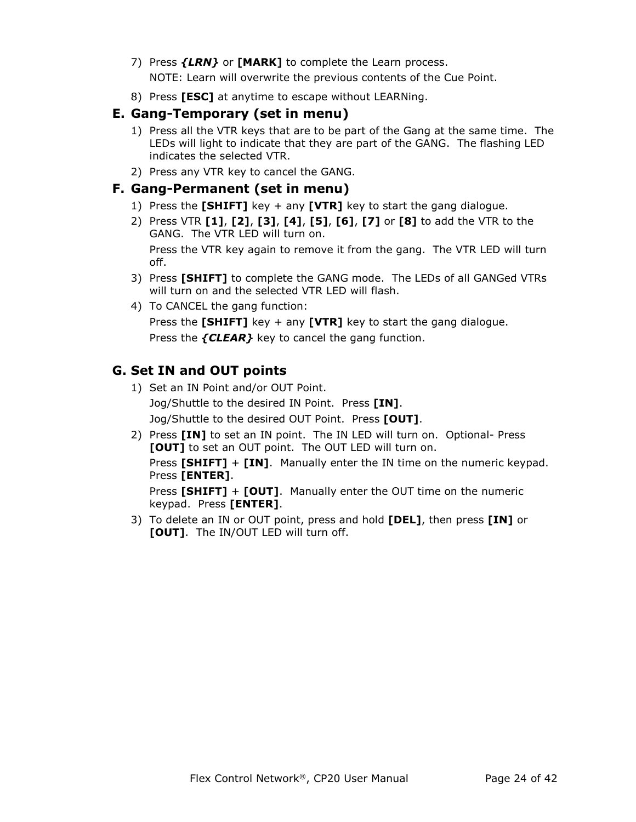- 7) Press *{LRN}* or **[MARK]** to complete the Learn process. NOTE: Learn will overwrite the previous contents of the Cue Point.
- 8) Press **[ESC]** at anytime to escape without LEARNing.

#### **E. Gang-Temporary (set in menu)**

- 1) Press all the VTR keys that are to be part of the Gang at the same time. The LEDs will light to indicate that they are part of the GANG. The flashing LED indicates the selected VTR.
- 2) Press any VTR key to cancel the GANG.

#### **F. Gang-Permanent (set in menu)**

- 1) Press the **[SHIFT]** key + any **[VTR]** key to start the gang dialogue.
- 2) Press VTR **[1]**, **[2]**, **[3]**, **[4]**, **[5]**, **[6]**, **[7]** or **[8]** to add the VTR to the GANG. The VTR LED will turn on.

Press the VTR key again to remove it from the gang. The VTR LED will turn off.

- 3) Press **[SHIFT]** to complete the GANG mode. The LEDs of all GANGed VTRs will turn on and the selected VTR LED will flash.
- 4) To CANCEL the gang function:

Press the **[SHIFT]** key + any **[VTR]** key to start the gang dialogue. Press the *{CLEAR}* key to cancel the gang function.

#### **G. Set IN and OUT points**

- 1) Set an IN Point and/or OUT Point. Jog/Shuttle to the desired IN Point. Press **[IN]**. Jog/Shuttle to the desired OUT Point. Press **[OUT]**.
- 2) Press **[IN]** to set an IN point. The IN LED will turn on. Optional- Press **[OUT]** to set an OUT point. The OUT LED will turn on. Press **[SHIFT]** + **[IN]**. Manually enter the IN time on the numeric keypad. Press **[ENTER]**. Press **[SHIFT]** + **[OUT]**. Manually enter the OUT time on the numeric

keypad. Press **[ENTER]**.

3) To delete an IN or OUT point, press and hold **[DEL]**, then press **[IN]** or **[OUT]**. The IN/OUT LED will turn off.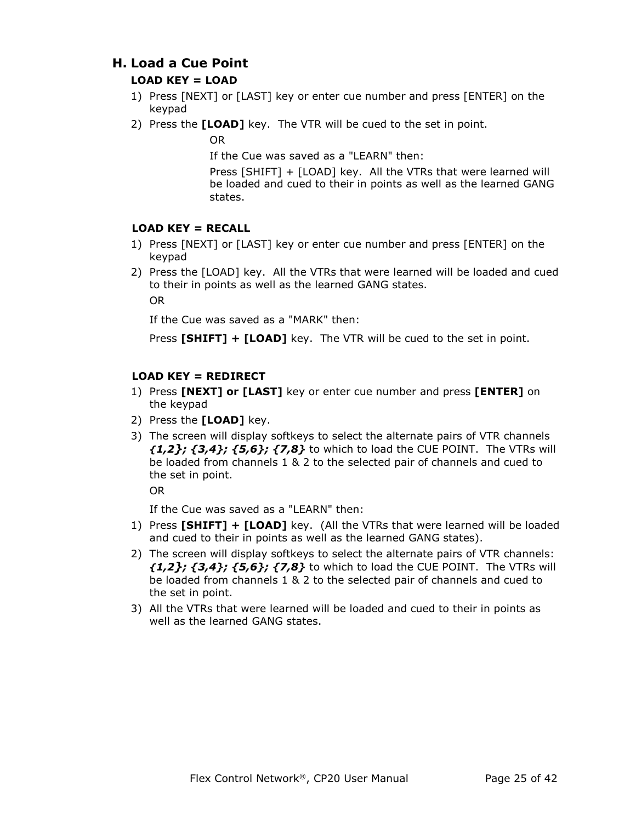#### **H. Load a Cue Point**

#### **LOAD KEY = LOAD**

- 1) Press [NEXT] or [LAST] key or enter cue number and press [ENTER] on the keypad
- 2) Press the **[LOAD]** key. The VTR will be cued to the set in point.

OR

If the Cue was saved as a "LEARN" then:

Press [SHIFT] + [LOAD] key. All the VTRs that were learned will be loaded and cued to their in points as well as the learned GANG states.

#### **LOAD KEY = RECALL**

- 1) Press [NEXT] or [LAST] key or enter cue number and press [ENTER] on the keypad
- 2) Press the [LOAD] key. All the VTRs that were learned will be loaded and cued to their in points as well as the learned GANG states. OR

If the Cue was saved as a "MARK" then:

Press **[SHIFT] + [LOAD]** key. The VTR will be cued to the set in point.

#### **LOAD KEY = REDIRECT**

- 1) Press **[NEXT] or [LAST]** key or enter cue number and press **[ENTER]** on the keypad
- 2) Press the **[LOAD]** key.
- 3) The screen will display softkeys to select the alternate pairs of VTR channels *{1,2}; {3,4}; {5,6}; {7,8}* to which to load the CUE POINT. The VTRs will be loaded from channels 1 & 2 to the selected pair of channels and cued to the set in point.

OR

If the Cue was saved as a "LEARN" then:

- 1) Press **[SHIFT] + [LOAD]** key. (All the VTRs that were learned will be loaded and cued to their in points as well as the learned GANG states).
- 2) The screen will display softkeys to select the alternate pairs of VTR channels: *{1,2}; {3,4}; {5,6}; {7,8}* to which to load the CUE POINT. The VTRs will be loaded from channels 1 & 2 to the selected pair of channels and cued to the set in point.
- 3) All the VTRs that were learned will be loaded and cued to their in points as well as the learned GANG states.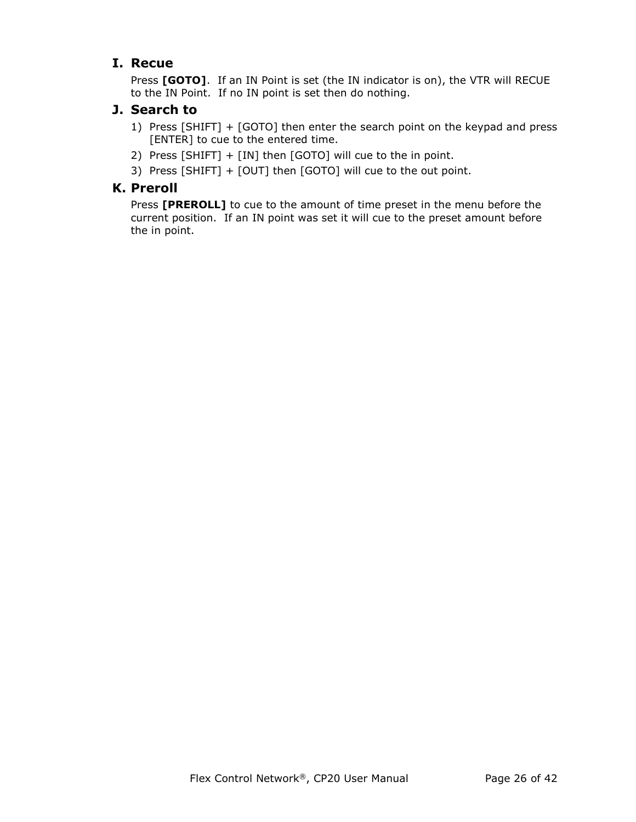#### **I. Recue**

Press **[GOTO]**. If an IN Point is set (the IN indicator is on), the VTR will RECUE to the IN Point. If no IN point is set then do nothing.

#### **J. Search to**

- 1) Press [SHIFT] + [GOTO] then enter the search point on the keypad and press [ENTER] to cue to the entered time.
- 2) Press [SHIFT] + [IN] then [GOTO] will cue to the in point.
- 3) Press [SHIFT] + [OUT] then [GOTO] will cue to the out point.

#### **K. Preroll**

Press **[PREROLL]** to cue to the amount of time preset in the menu before the current position. If an IN point was set it will cue to the preset amount before the in point.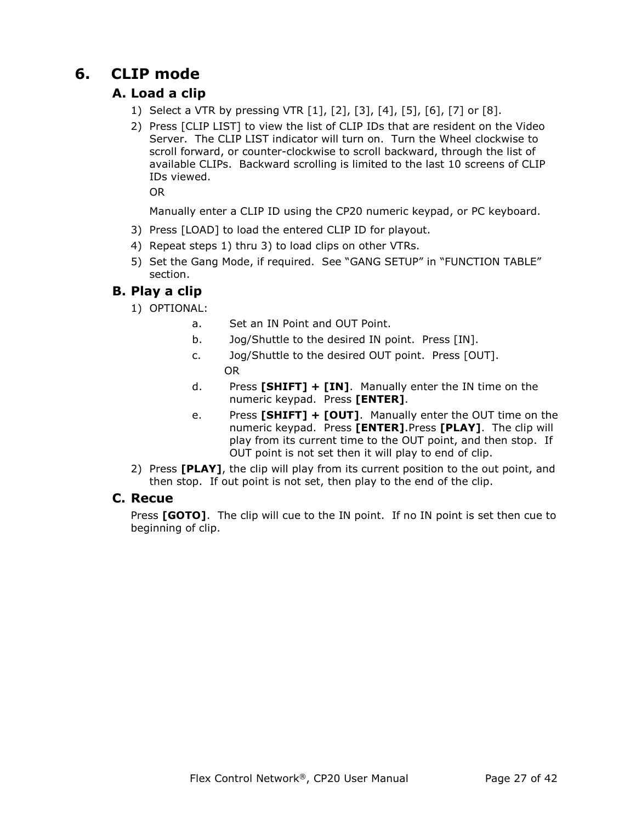## **6. CLIP mode**

#### **A. Load a clip**

- 1) Select a VTR by pressing VTR [1], [2], [3], [4], [5], [6], [7] or [8].
- 2) Press [CLIP LIST] to view the list of CLIP IDs that are resident on the Video Server. The CLIP LIST indicator will turn on. Turn the Wheel clockwise to scroll forward, or counter-clockwise to scroll backward, through the list of available CLIPs. Backward scrolling is limited to the last 10 screens of CLIP IDs viewed.

OR

Manually enter a CLIP ID using the CP20 numeric keypad, or PC keyboard.

- 3) Press [LOAD] to load the entered CLIP ID for playout.
- 4) Repeat steps 1) thru 3) to load clips on other VTRs.
- 5) Set the Gang Mode, if required. See "GANG SETUP" in "FUNCTION TABLE" section.

#### **B. Play a clip**

- 1) OPTIONAL:
	- a. Set an IN Point and OUT Point.
	- b. Jog/Shuttle to the desired IN point. Press [IN].
	- c. Jog/Shuttle to the desired OUT point. Press [OUT]. OR
	- d. Press **[SHIFT] + [IN]**. Manually enter the IN time on the numeric keypad. Press **[ENTER]**.
	- e. Press **[SHIFT] + [OUT]**. Manually enter the OUT time on the numeric keypad. Press **[ENTER]**.Press **[PLAY]**. The clip will play from its current time to the OUT point, and then stop. If OUT point is not set then it will play to end of clip.
- 2) Press **[PLAY]**, the clip will play from its current position to the out point, and then stop. If out point is not set, then play to the end of the clip.

#### **C. Recue**

Press **[GOTO]**. The clip will cue to the IN point. If no IN point is set then cue to beginning of clip.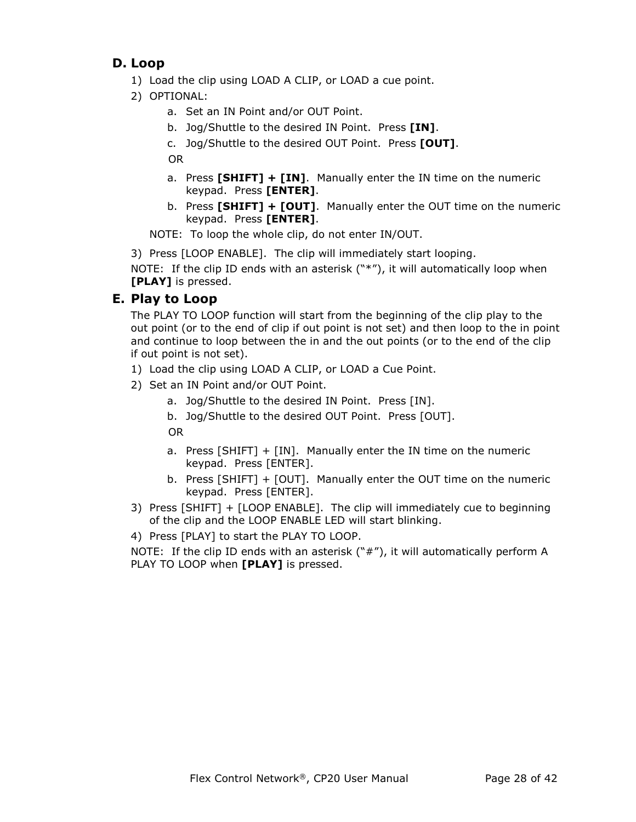#### **D. Loop**

- 1) Load the clip using LOAD A CLIP, or LOAD a cue point.
- 2) OPTIONAL:
	- a. Set an IN Point and/or OUT Point.
	- b. Jog/Shuttle to the desired IN Point. Press **[IN]**.
	- c. Jog/Shuttle to the desired OUT Point. Press **[OUT]**.

OR

- a. Press **[SHIFT] + [IN]**. Manually enter the IN time on the numeric keypad. Press **[ENTER]**.
- b. Press **[SHIFT] + [OUT]**. Manually enter the OUT time on the numeric keypad. Press **[ENTER]**.

NOTE: To loop the whole clip, do not enter IN/OUT.

3) Press [LOOP ENABLE]. The clip will immediately start looping.

NOTE: If the clip ID ends with an asterisk ("\*"), it will automatically loop when **[PLAY]** is pressed.

#### **E. Play to Loop**

The PLAY TO LOOP function will start from the beginning of the clip play to the out point (or to the end of clip if out point is not set) and then loop to the in point and continue to loop between the in and the out points (or to the end of the clip if out point is not set).

- 1) Load the clip using LOAD A CLIP, or LOAD a Cue Point.
- 2) Set an IN Point and/or OUT Point.
	- a. Jog/Shuttle to the desired IN Point. Press [IN].
	- b. Jog/Shuttle to the desired OUT Point. Press [OUT].

OR

- a. Press [SHIFT] + [IN]. Manually enter the IN time on the numeric keypad. Press [ENTER].
- b. Press [SHIFT] + [OUT]. Manually enter the OUT time on the numeric keypad. Press [ENTER].
- 3) Press [SHIFT] + [LOOP ENABLE]. The clip will immediately cue to beginning of the clip and the LOOP ENABLE LED will start blinking.
- 4) Press [PLAY] to start the PLAY TO LOOP.

NOTE: If the clip ID ends with an asterisk  $("#")$ , it will automatically perform A PLAY TO LOOP when **[PLAY]** is pressed.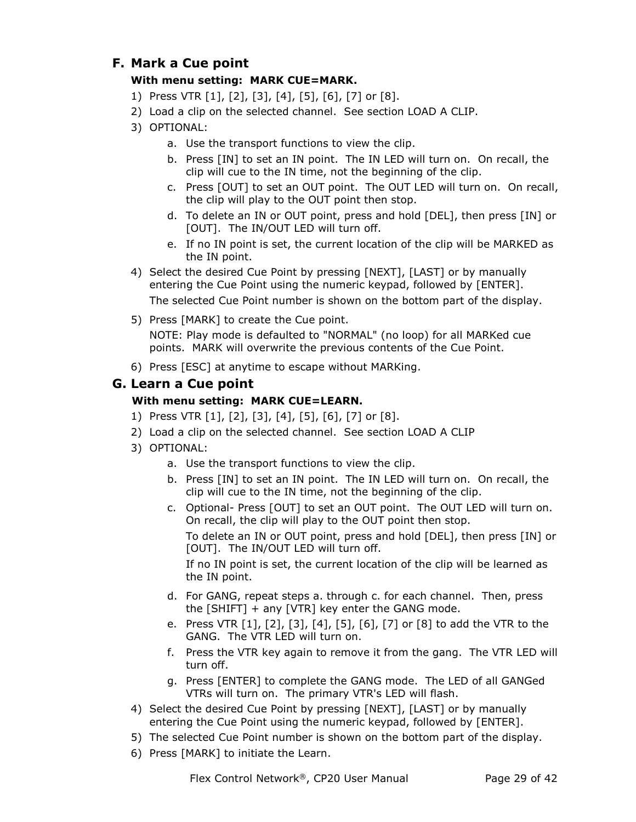#### **F. Mark a Cue point**

#### **With menu setting: MARK CUE=MARK.**

- 1) Press VTR [1], [2], [3], [4], [5], [6], [7] or [8].
- 2) Load a clip on the selected channel. See section LOAD A CLIP.
- 3) OPTIONAL:
	- a. Use the transport functions to view the clip.
	- b. Press [IN] to set an IN point. The IN LED will turn on. On recall, the clip will cue to the IN time, not the beginning of the clip.
	- c. Press [OUT] to set an OUT point. The OUT LED will turn on. On recall, the clip will play to the OUT point then stop.
	- d. To delete an IN or OUT point, press and hold [DEL], then press [IN] or [OUT]. The IN/OUT LED will turn off.
	- e. If no IN point is set, the current location of the clip will be MARKED as the IN point.
- 4) Select the desired Cue Point by pressing [NEXT], [LAST] or by manually entering the Cue Point using the numeric keypad, followed by [ENTER]. The selected Cue Point number is shown on the bottom part of the display.
- 5) Press [MARK] to create the Cue point.

NOTE: Play mode is defaulted to "NORMAL" (no loop) for all MARKed cue points. MARK will overwrite the previous contents of the Cue Point.

6) Press [ESC] at anytime to escape without MARKing.

#### **G. Learn a Cue point**

#### **With menu setting: MARK CUE=LEARN.**

- 1) Press VTR [1], [2], [3], [4], [5], [6], [7] or [8].
- 2) Load a clip on the selected channel. See section LOAD A CLIP
- 3) OPTIONAL:
	- a. Use the transport functions to view the clip.
	- b. Press [IN] to set an IN point. The IN LED will turn on. On recall, the clip will cue to the IN time, not the beginning of the clip.
	- c. Optional- Press [OUT] to set an OUT point. The OUT LED will turn on. On recall, the clip will play to the OUT point then stop.

To delete an IN or OUT point, press and hold [DEL], then press [IN] or [OUT]. The IN/OUT LED will turn off.

If no IN point is set, the current location of the clip will be learned as the IN point.

- d. For GANG, repeat steps a. through c. for each channel. Then, press the  $[SHIFT]$  + any  $[VTR]$  key enter the GANG mode.
- e. Press VTR [1], [2], [3], [4], [5], [6], [7] or [8] to add the VTR to the GANG. The VTR LED will turn on.
- f. Press the VTR key again to remove it from the gang. The VTR LED will turn off.
- g. Press [ENTER] to complete the GANG mode. The LED of all GANGed VTRs will turn on. The primary VTR's LED will flash.
- 4) Select the desired Cue Point by pressing [NEXT], [LAST] or by manually entering the Cue Point using the numeric keypad, followed by [ENTER].
- 5) The selected Cue Point number is shown on the bottom part of the display.
- 6) Press [MARK] to initiate the Learn.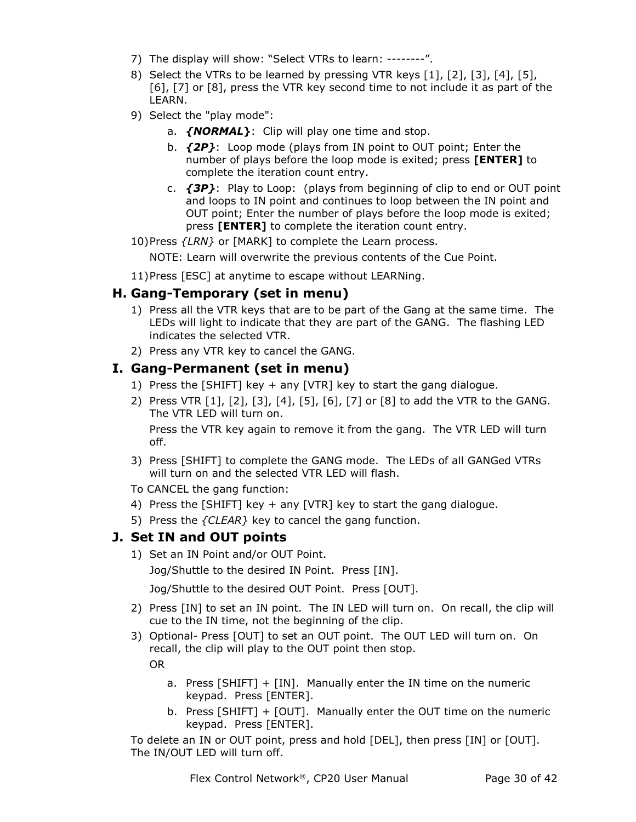- 7) The display will show: "Select VTRs to learn: --------".
- 8) Select the VTRs to be learned by pressing VTR keys [1], [2], [3], [4], [5], [6], [7] or [8], press the VTR key second time to not include it as part of the LEARN.
- 9) Select the "play mode":
	- a. *{NORMAL***}**: Clip will play one time and stop.
	- b. *{2P}*: Loop mode (plays from IN point to OUT point; Enter the number of plays before the loop mode is exited; press **[ENTER]** to complete the iteration count entry.
	- c. *{3P}*: Play to Loop: (plays from beginning of clip to end or OUT point and loops to IN point and continues to loop between the IN point and OUT point; Enter the number of plays before the loop mode is exited; press **[ENTER]** to complete the iteration count entry.
- 10)Press *{LRN}* or [MARK] to complete the Learn process.

NOTE: Learn will overwrite the previous contents of the Cue Point.

11)Press [ESC] at anytime to escape without LEARNing.

#### **H. Gang-Temporary (set in menu)**

- 1) Press all the VTR keys that are to be part of the Gang at the same time. The LEDs will light to indicate that they are part of the GANG. The flashing LED indicates the selected VTR.
- 2) Press any VTR key to cancel the GANG.

#### **I. Gang-Permanent (set in menu)**

- 1) Press the [SHIFT] key + any [VTR] key to start the gang dialogue.
- 2) Press VTR [1], [2], [3], [4], [5], [6], [7] or [8] to add the VTR to the GANG. The VTR LED will turn on.

Press the VTR key again to remove it from the gang. The VTR LED will turn off.

- 3) Press [SHIFT] to complete the GANG mode. The LEDs of all GANGed VTRs will turn on and the selected VTR LED will flash.
- To CANCEL the gang function:
- 4) Press the [SHIFT] key + any [VTR] key to start the gang dialogue.
- 5) Press the *{CLEAR}* key to cancel the gang function.

#### **J. Set IN and OUT points**

1) Set an IN Point and/or OUT Point.

Jog/Shuttle to the desired IN Point. Press [IN].

Jog/Shuttle to the desired OUT Point. Press [OUT].

- 2) Press [IN] to set an IN point. The IN LED will turn on. On recall, the clip will cue to the IN time, not the beginning of the clip.
- 3) Optional- Press [OUT] to set an OUT point. The OUT LED will turn on. On recall, the clip will play to the OUT point then stop. OR

- a. Press [SHIFT] + [IN]. Manually enter the IN time on the numeric keypad. Press [ENTER].
- b. Press [SHIFT] + [OUT]. Manually enter the OUT time on the numeric keypad. Press [ENTER].

To delete an IN or OUT point, press and hold [DEL], then press [IN] or [OUT]. The IN/OUT LED will turn off.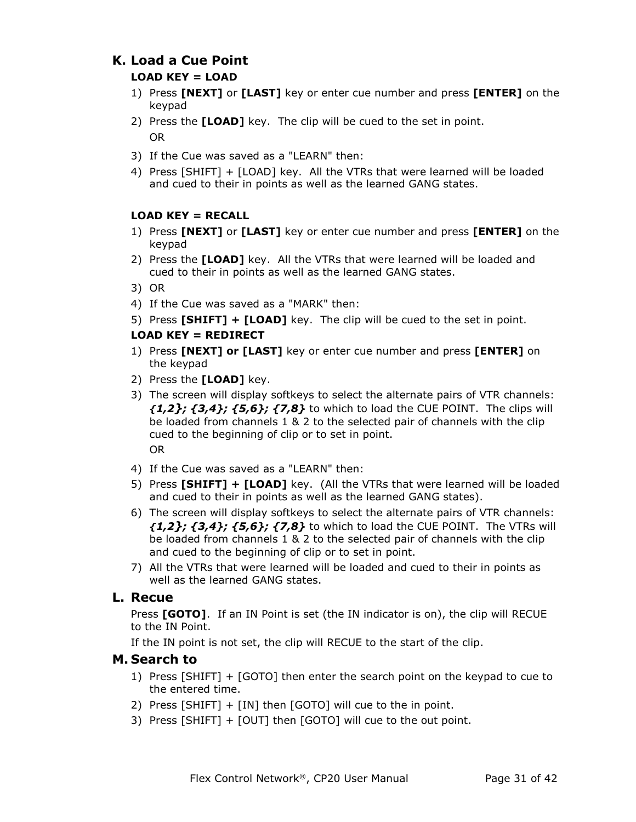#### **K. Load a Cue Point**

#### **LOAD KEY = LOAD**

- 1) Press **[NEXT]** or **[LAST]** key or enter cue number and press **[ENTER]** on the keypad
- 2) Press the **[LOAD]** key. The clip will be cued to the set in point. OR
- 3) If the Cue was saved as a "LEARN" then:
- 4) Press [SHIFT] + [LOAD] key. All the VTRs that were learned will be loaded and cued to their in points as well as the learned GANG states.

#### **LOAD KEY = RECALL**

- 1) Press **[NEXT]** or **[LAST]** key or enter cue number and press **[ENTER]** on the keypad
- 2) Press the **[LOAD]** key. All the VTRs that were learned will be loaded and cued to their in points as well as the learned GANG states.
- 3) OR
- 4) If the Cue was saved as a "MARK" then:
- 5) Press **[SHIFT] + [LOAD]** key. The clip will be cued to the set in point.

#### **LOAD KEY = REDIRECT**

- 1) Press **[NEXT] or [LAST]** key or enter cue number and press **[ENTER]** on the keypad
- 2) Press the **[LOAD]** key.
- 3) The screen will display softkeys to select the alternate pairs of VTR channels: *{1,2}; {3,4}; {5,6}; {7,8}* to which to load the CUE POINT. The clips will be loaded from channels 1 & 2 to the selected pair of channels with the clip cued to the beginning of clip or to set in point. OR
- 4) If the Cue was saved as a "LEARN" then:
- 5) Press **[SHIFT] + [LOAD]** key. (All the VTRs that were learned will be loaded and cued to their in points as well as the learned GANG states).
- 6) The screen will display softkeys to select the alternate pairs of VTR channels: *{1,2}; {3,4}; {5,6}; {7,8}* to which to load the CUE POINT. The VTRs will be loaded from channels 1 & 2 to the selected pair of channels with the clip and cued to the beginning of clip or to set in point.
- 7) All the VTRs that were learned will be loaded and cued to their in points as well as the learned GANG states.

#### **L. Recue**

Press **[GOTO]**. If an IN Point is set (the IN indicator is on), the clip will RECUE to the IN Point.

If the IN point is not set, the clip will RECUE to the start of the clip.

#### **M. Search to**

- 1) Press [SHIFT] + [GOTO] then enter the search point on the keypad to cue to the entered time.
- 2) Press [SHIFT] + [IN] then [GOTO] will cue to the in point.
- 3) Press [SHIFT] + [OUT] then [GOTO] will cue to the out point.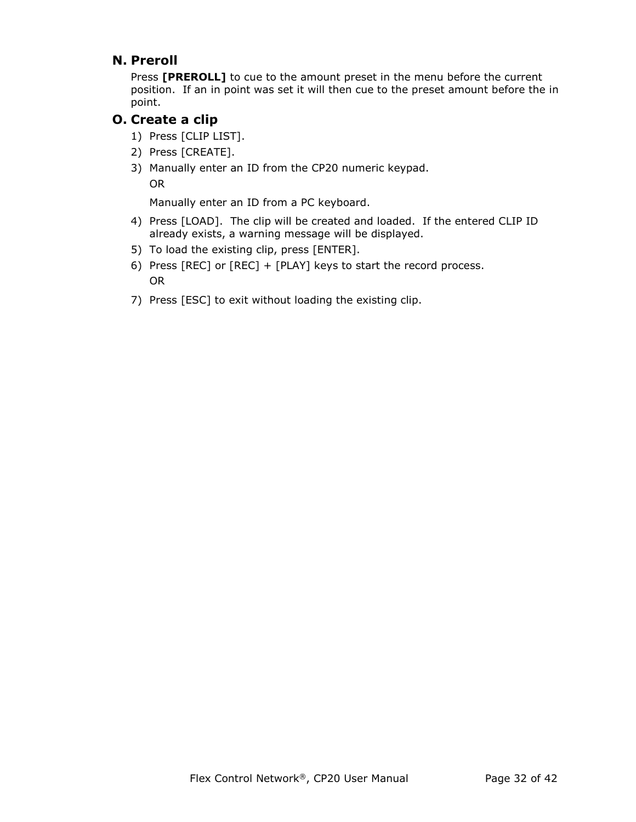#### **N. Preroll**

Press **[PREROLL]** to cue to the amount preset in the menu before the current position. If an in point was set it will then cue to the preset amount before the in point.

#### **O. Create a clip**

- 1) Press [CLIP LIST].
- 2) Press [CREATE].
- 3) Manually enter an ID from the CP20 numeric keypad.

OR

Manually enter an ID from a PC keyboard.

- 4) Press [LOAD]. The clip will be created and loaded. If the entered CLIP ID already exists, a warning message will be displayed.
- 5) To load the existing clip, press [ENTER].
- 6) Press [REC] or [REC] + [PLAY] keys to start the record process. OR
- 7) Press [ESC] to exit without loading the existing clip.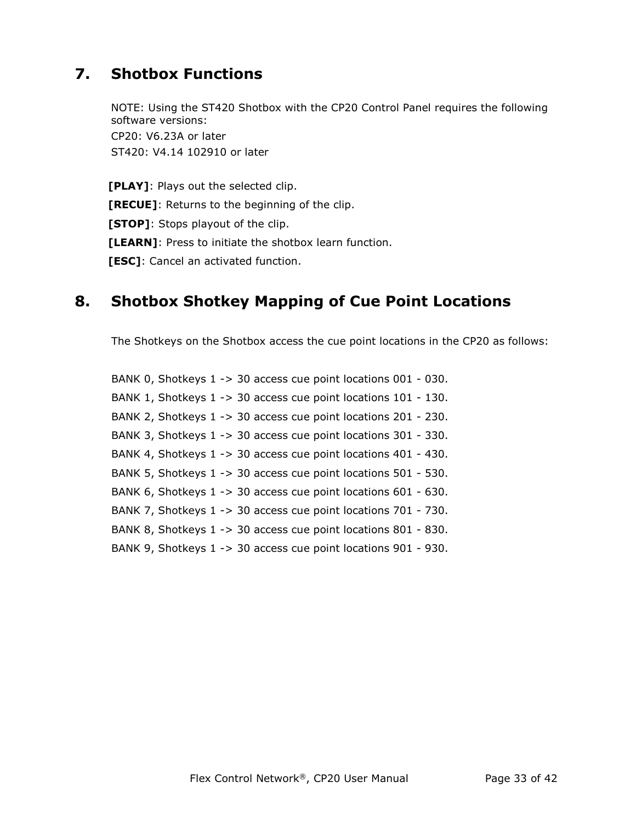## **7. Shotbox Functions**

NOTE: Using the ST420 Shotbox with the CP20 Control Panel requires the following software versions: CP20: V6.23A or later ST420: V4.14 102910 or later

**[PLAY]**: Plays out the selected clip. **[RECUE]**: Returns to the beginning of the clip. **[STOP]**: Stops playout of the clip. **[LEARN]**: Press to initiate the shotbox learn function. **[ESC]**: Cancel an activated function.

## **8. Shotbox Shotkey Mapping of Cue Point Locations**

The Shotkeys on the Shotbox access the cue point locations in the CP20 as follows:

BANK 0, Shotkeys 1 -> 30 access cue point locations 001 - 030. BANK 1, Shotkeys 1 -> 30 access cue point locations 101 - 130. BANK 2, Shotkeys 1 -> 30 access cue point locations 201 - 230. BANK 3, Shotkeys 1 -> 30 access cue point locations 301 - 330. BANK 4, Shotkeys 1 -> 30 access cue point locations 401 - 430. BANK 5, Shotkeys 1 -> 30 access cue point locations 501 - 530. BANK 6, Shotkeys 1 -> 30 access cue point locations 601 - 630. BANK 7, Shotkeys 1 -> 30 access cue point locations 701 - 730. BANK 8, Shotkeys 1 -> 30 access cue point locations 801 - 830. BANK 9, Shotkeys 1 -> 30 access cue point locations 901 - 930.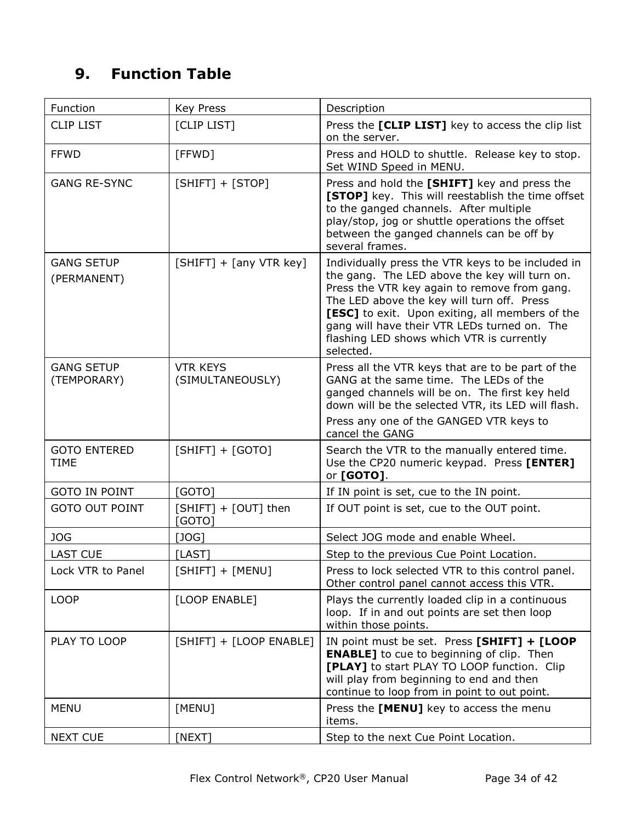## **9. Function Table**

| Function                           | <b>Key Press</b>                    | Description                                                                                                                                                                                                                                                                                                                                                   |
|------------------------------------|-------------------------------------|---------------------------------------------------------------------------------------------------------------------------------------------------------------------------------------------------------------------------------------------------------------------------------------------------------------------------------------------------------------|
| <b>CLIP LIST</b>                   | [CLIP LIST]                         | Press the [CLIP LIST] key to access the clip list<br>on the server.                                                                                                                                                                                                                                                                                           |
| <b>FFWD</b>                        | [FFWD]                              | Press and HOLD to shuttle. Release key to stop.<br>Set WIND Speed in MENU.                                                                                                                                                                                                                                                                                    |
| <b>GANG RE-SYNC</b>                | $[SHIFT] + [STOP]$                  | Press and hold the [SHIFT] key and press the<br>[STOP] key. This will reestablish the time offset<br>to the ganged channels. After multiple<br>play/stop, jog or shuttle operations the offset<br>between the ganged channels can be off by<br>several frames.                                                                                                |
| <b>GANG SETUP</b><br>(PERMANENT)   | $[SHIFT] + [any VTR key]$           | Individually press the VTR keys to be included in<br>the gang. The LED above the key will turn on.<br>Press the VTR key again to remove from gang.<br>The LED above the key will turn off. Press<br>[ESC] to exit. Upon exiting, all members of the<br>gang will have their VTR LEDs turned on. The<br>flashing LED shows which VTR is currently<br>selected. |
| <b>GANG SETUP</b><br>(TEMPORARY)   | <b>VTR KEYS</b><br>(SIMULTANEOUSLY) | Press all the VTR keys that are to be part of the<br>GANG at the same time. The LEDs of the<br>ganged channels will be on. The first key held<br>down will be the selected VTR, its LED will flash.<br>Press any one of the GANGED VTR keys to<br>cancel the GANG                                                                                             |
| <b>GOTO ENTERED</b><br><b>TIME</b> | $[SHIFT] + [GOTO]$                  | Search the VTR to the manually entered time.<br>Use the CP20 numeric keypad. Press [ENTER]<br>or [GOTO].                                                                                                                                                                                                                                                      |
| <b>GOTO IN POINT</b>               | [GOTO]                              | If IN point is set, cue to the IN point.                                                                                                                                                                                                                                                                                                                      |
| <b>GOTO OUT POINT</b>              | [SHIFT] + [OUT] then<br>[GOTO]      | If OUT point is set, cue to the OUT point.                                                                                                                                                                                                                                                                                                                    |
| JOG                                | [JOG]                               | Select JOG mode and enable Wheel.                                                                                                                                                                                                                                                                                                                             |
| <b>LAST CUE</b>                    | [LAST]                              | Step to the previous Cue Point Location.                                                                                                                                                                                                                                                                                                                      |
| Lock VTR to Panel                  | $[SHIFT] + [MENU]$                  | Press to lock selected VTR to this control panel.<br>Other control panel cannot access this VTR.                                                                                                                                                                                                                                                              |
| <b>LOOP</b>                        | [LOOP ENABLE]                       | Plays the currently loaded clip in a continuous<br>loop. If in and out points are set then loop<br>within those points.                                                                                                                                                                                                                                       |
| PLAY TO LOOP                       | [SHIFT] + [LOOP ENABLE]             | IN point must be set. Press [SHIFT] + [LOOP<br><b>ENABLE]</b> to cue to beginning of clip. Then<br>[PLAY] to start PLAY TO LOOP function. Clip<br>will play from beginning to end and then<br>continue to loop from in point to out point.                                                                                                                    |
| <b>MENU</b>                        | [MENU]                              | Press the [MENU] key to access the menu<br>items.                                                                                                                                                                                                                                                                                                             |
| <b>NEXT CUE</b>                    | [NEXT]                              | Step to the next Cue Point Location.                                                                                                                                                                                                                                                                                                                          |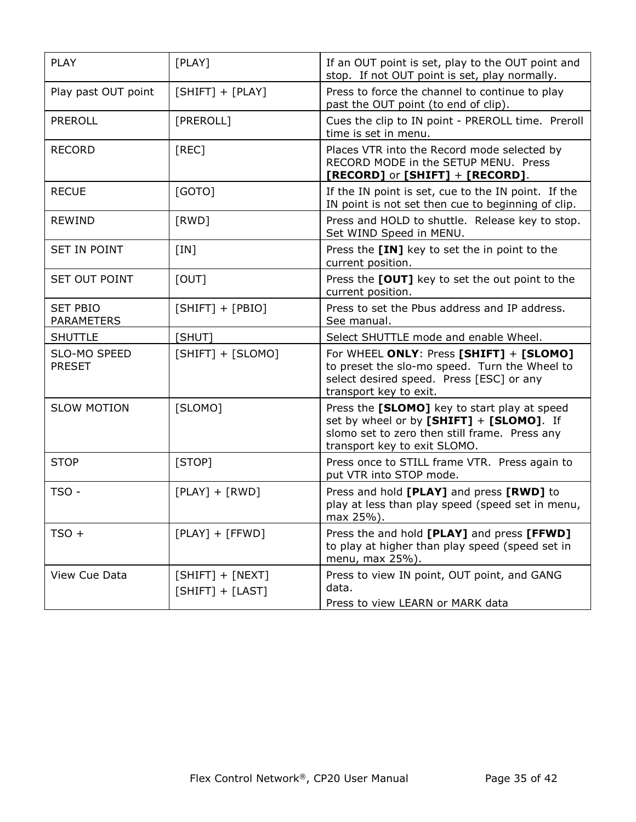| <b>PLAY</b>                          | [PLAY]                                   | If an OUT point is set, play to the OUT point and<br>stop. If not OUT point is set, play normally.                                                                        |
|--------------------------------------|------------------------------------------|---------------------------------------------------------------------------------------------------------------------------------------------------------------------------|
| Play past OUT point                  | $[SHIFT] + [PLAY]$                       | Press to force the channel to continue to play<br>past the OUT point (to end of clip).                                                                                    |
| <b>PREROLL</b>                       | [PREROLL]                                | Cues the clip to IN point - PREROLL time. Preroll<br>time is set in menu.                                                                                                 |
| <b>RECORD</b>                        | [REC]                                    | Places VTR into the Record mode selected by<br>RECORD MODE in the SETUP MENU. Press<br>$[RECORD]$ or $[SHIFT] + [RECORD]$ .                                               |
| <b>RECUE</b>                         | [GOTO]                                   | If the IN point is set, cue to the IN point. If the<br>IN point is not set then cue to beginning of clip.                                                                 |
| <b>REWIND</b>                        | [RWD]                                    | Press and HOLD to shuttle. Release key to stop.<br>Set WIND Speed in MENU.                                                                                                |
| <b>SET IN POINT</b>                  | [IN]                                     | Press the [IN] key to set the in point to the<br>current position.                                                                                                        |
| SET OUT POINT                        | [OUT]                                    | Press the [OUT] key to set the out point to the<br>current position.                                                                                                      |
| <b>SET PBIO</b><br><b>PARAMETERS</b> | $[SHIFT] + [PBIO]$                       | Press to set the Pbus address and IP address.<br>See manual.                                                                                                              |
| <b>SHUTTLE</b>                       | [SHUT]                                   | Select SHUTTLE mode and enable Wheel.                                                                                                                                     |
| SLO-MO SPEED<br><b>PRESET</b>        | $[SHIFT] + [SLOMO]$                      | For WHEEL ONLY: Press [SHIFT] + [SLOMO]<br>to preset the slo-mo speed. Turn the Wheel to<br>select desired speed. Press [ESC] or any<br>transport key to exit.            |
| <b>SLOW MOTION</b>                   | [SLOMO]                                  | Press the [SLOMO] key to start play at speed<br>set by wheel or by [SHIFT] + [SLOMO]. If<br>slomo set to zero then still frame. Press any<br>transport key to exit SLOMO. |
| <b>STOP</b>                          | [STOP]                                   | Press once to STILL frame VTR. Press again to<br>put VTR into STOP mode.                                                                                                  |
| TSO -                                | $[PLAY] + [RWD]$                         | Press and hold [PLAY] and press [RWD] to<br>play at less than play speed (speed set in menu,<br>max 25%).                                                                 |
| $TSO +$                              | $[PLAY] + [FFWD]$                        | Press the and hold [PLAY] and press [FFWD]<br>to play at higher than play speed (speed set in<br>menu, max 25%).                                                          |
| View Cue Data                        | $[SHIFT] + [NEXT]$<br>$[SHIFT] + [LAST]$ | Press to view IN point, OUT point, and GANG<br>data.<br>Press to view LEARN or MARK data                                                                                  |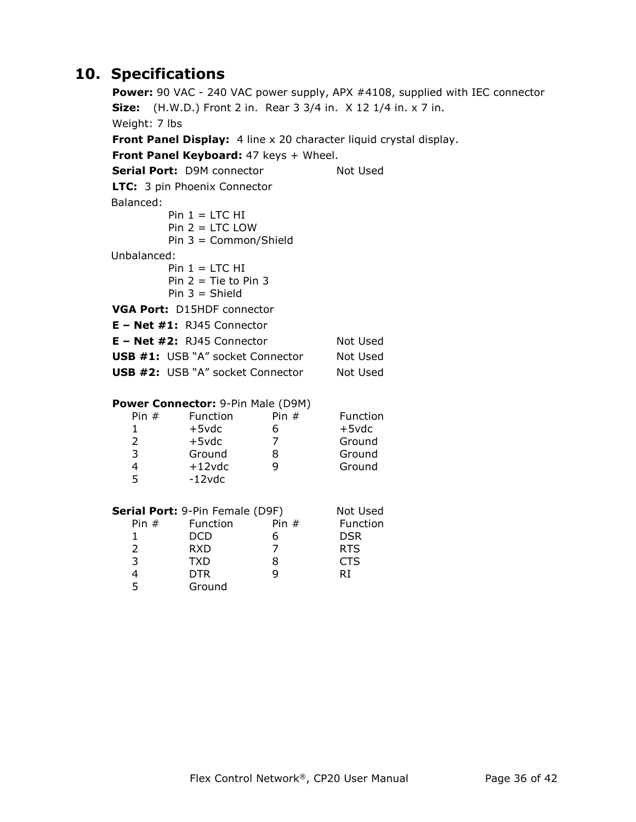## **10. Specifications**

**Power:** 90 VAC - 240 VAC power supply, APX #4108, supplied with IEC connector **Size:** (H.W.D.) Front 2 in. Rear 3 3/4 in. X 12 1/4 in. x 7 in. Weight: 7 lbs **Front Panel Display:** 4 line x 20 character liquid crystal display. **Front Panel Keyboard:** 47 keys + Wheel. **Serial Port:** D9M connector Not Used **LTC:** 3 pin Phoenix Connector Balanced: Pin  $1 =$  LTC HI  $Pin 2 = LTC$  LOW Pin 3 = Common/Shield Unbalanced: Pin  $1 =$  LTC HI Pin  $2 =$  Tie to Pin 3 Pin  $3 =$  Shield **VGA Port:** D15HDF connector **E – Net #1:** RJ45 Connector **E – Net #2:** RJ45 Connector Not Used **USB #1:** USB "A" socket Connector Not Used **USB #2:** USB "A" socket Connector Not Used **Power Connector:** 9-Pin Male (D9M) Pin # Function Pin # Function 1 +5vdc 6 +5vdc 2 +5vdc 7 Ground 3 Ground 8 Ground 4 +12vdc 9 Ground 5 -12vdc **Serial Port:** 9-Pin Female (D9F) Not Used Pin # Function Pin # Function 1 DCD 6 DSR 2 RXD 7 RTS 3 TXD 8 CTS 4 DTR 9 RI 5 Ground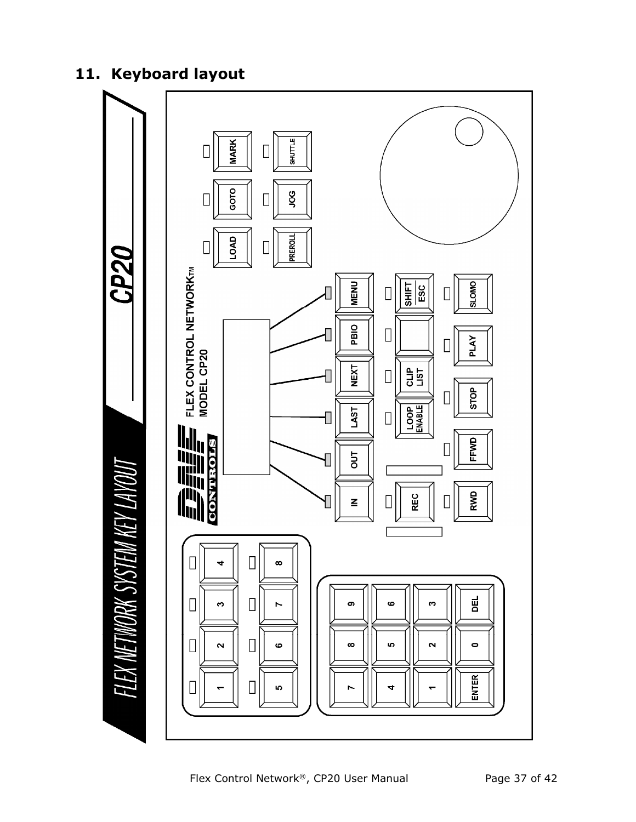